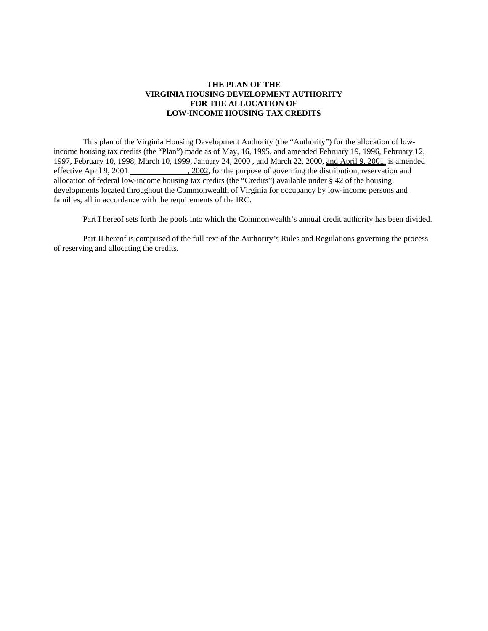# **THE PLAN OF THE VIRGINIA HOUSING DEVELOPMENT AUTHORITY FOR THE ALLOCATION OF LOW-INCOME HOUSING TAX CREDITS**

This plan of the Virginia Housing Development Authority (the "Authority") for the allocation of lowincome housing tax credits (the "Plan") made as of May, 16, 1995, and amended February 19, 1996, February 12, 1997, February 10, 1998, March 10, 1999, January 24, 2000 , and March 22, 2000, and April 9, 2001, is amended effective April 9, 2001 \_\_\_\_\_\_\_\_\_\_\_\_\_, 2002, for the purpose of governing the distribution, reservation and allocation of federal low-income housing tax credits (the "Credits") available under § 42 of the housing developments located throughout the Commonwealth of Virginia for occupancy by low-income persons and families, all in accordance with the requirements of the IRC.

Part I hereof sets forth the pools into which the Commonwealth's annual credit authority has been divided.

Part II hereof is comprised of the full text of the Authority's Rules and Regulations governing the process of reserving and allocating the credits.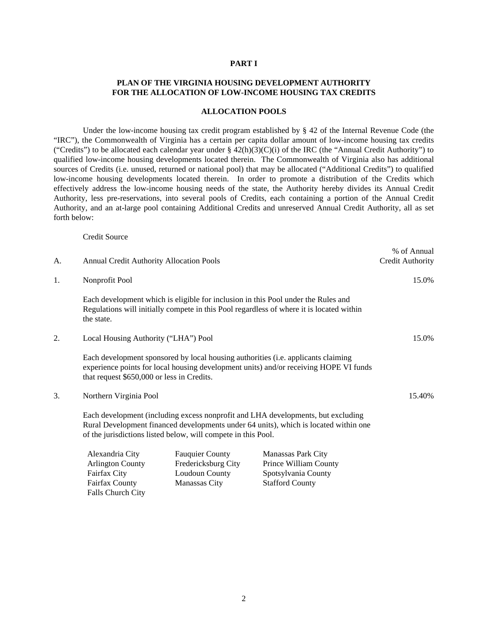#### **PART I**

# **PLAN OF THE VIRGINIA HOUSING DEVELOPMENT AUTHORITY FOR THE ALLOCATION OF LOW-INCOME HOUSING TAX CREDITS**

#### **ALLOCATION POOLS**

Under the low-income housing tax credit program established by § 42 of the Internal Revenue Code (the "IRC"), the Commonwealth of Virginia has a certain per capita dollar amount of low-income housing tax credits ("Credits") to be allocated each calendar year under  $\S$  42(h)(3)(C)(i) of the IRC (the "Annual Credit Authority") to qualified low-income housing developments located therein. The Commonwealth of Virginia also has additional sources of Credits (i.e. unused, returned or national pool) that may be allocated ("Additional Credits") to qualified low-income housing developments located therein. In order to promote a distribution of the Credits which effectively address the low-income housing needs of the state, the Authority hereby divides its Annual Credit Authority, less pre-reservations, into several pools of Credits, each containing a portion of the Annual Credit Authority, and an at-large pool containing Additional Credits and unreserved Annual Credit Authority, all as set forth below:

% of Annual

Credit Source

Falls Church City

| A. | <b>Annual Credit Authority Allocation Pools</b>                                                                                                                                                                                           |                                                                 |                                                                                                                                                                               | Credit Authority |
|----|-------------------------------------------------------------------------------------------------------------------------------------------------------------------------------------------------------------------------------------------|-----------------------------------------------------------------|-------------------------------------------------------------------------------------------------------------------------------------------------------------------------------|------------------|
| 1. | Nonprofit Pool                                                                                                                                                                                                                            |                                                                 | 15.0%                                                                                                                                                                         |                  |
|    | the state.                                                                                                                                                                                                                                |                                                                 | Each development which is eligible for inclusion in this Pool under the Rules and<br>Regulations will initially compete in this Pool regardless of where it is located within |                  |
| 2. | Local Housing Authority ("LHA") Pool                                                                                                                                                                                                      |                                                                 |                                                                                                                                                                               | 15.0%            |
|    | Each development sponsored by local housing authorities (i.e. applicants claiming<br>experience points for local housing development units) and/or receiving HOPE VI funds<br>that request \$650,000 or less in Credits.                  |                                                                 |                                                                                                                                                                               |                  |
| 3. | Northern Virginia Pool                                                                                                                                                                                                                    |                                                                 |                                                                                                                                                                               | 15.40%           |
|    | Each development (including excess nonprofit and LHA developments, but excluding<br>Rural Development financed developments under 64 units), which is located within one<br>of the jurisdictions listed below, will compete in this Pool. |                                                                 |                                                                                                                                                                               |                  |
|    | Alexandria City<br><b>Arlington County</b><br>Fairfax City                                                                                                                                                                                | <b>Fauquier County</b><br>Fredericksburg City<br>Loudoun County | <b>Manassas Park City</b><br>Prince William County<br>Spotsylvania County                                                                                                     |                  |

Fairfax County Manassas City Stafford County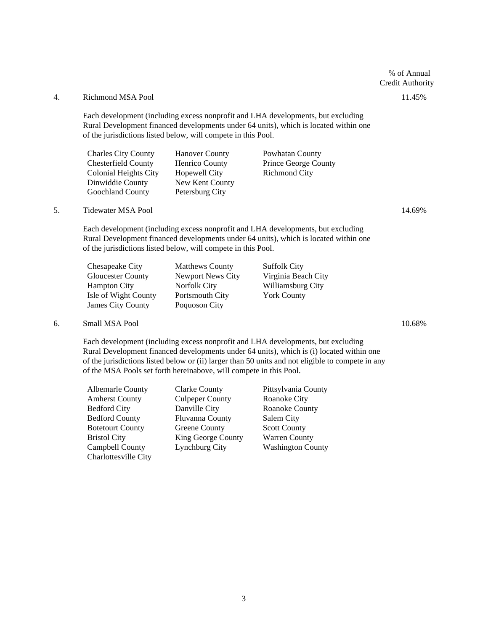# % of Annual Credit Authority

# 4. Richmond MSA Pool 11.45%

Each development (including excess nonprofit and LHA developments, but excluding Rural Development financed developments under 64 units), which is located within one of the jurisdictions listed below, will compete in this Pool.

| <b>Charles City County</b> | <b>Hanover County</b> | Powhatan County             |
|----------------------------|-----------------------|-----------------------------|
| <b>Chesterfield County</b> | Henrico County        | <b>Prince George County</b> |
| Colonial Heights City      | Hopewell City         | <b>Richmond City</b>        |
| Dinwiddie County           | New Kent County       |                             |
| <b>Goochland County</b>    | Petersburg City       |                             |
|                            |                       |                             |

# 5. Tidewater MSA Pool 14.69%

Each development (including excess nonprofit and LHA developments, but excluding Rural Development financed developments under 64 units), which is located within one of the jurisdictions listed below, will compete in this Pool.

| Chesapeake City          | <b>Matthews County</b> | <b>Suffolk City</b> |
|--------------------------|------------------------|---------------------|
| Gloucester County        | Newport News City      | Virginia Beach City |
| Hampton City             | Norfolk City           | Williamsburg City   |
| Isle of Wight County     | <b>Portsmouth City</b> | <b>York County</b>  |
| <b>James City County</b> | Poquoson City          |                     |

#### 6. Small MSA Pool 10.68%

Each development (including excess nonprofit and LHA developments, but excluding Rural Development financed developments under 64 units), which is (i) located within one of the jurisdictions listed below or (ii) larger than 50 units and not eligible to compete in any of the MSA Pools set forth hereinabove, will compete in this Pool.

| <b>Albemarle County</b> | <b>Clarke County</b>   | Pittsylvania County      |
|-------------------------|------------------------|--------------------------|
| <b>Amherst County</b>   | <b>Culpeper County</b> | Roanoke City             |
| <b>Bedford City</b>     | Danville City          | Roanoke County           |
| <b>Bedford County</b>   | <b>Fluvanna County</b> | Salem City               |
| <b>Botetourt County</b> | Greene County          | <b>Scott County</b>      |
| <b>Bristol City</b>     | King George County     | <b>Warren County</b>     |
| Campbell County         | <b>Lynchburg City</b>  | <b>Washington County</b> |
| Charlottesville City    |                        |                          |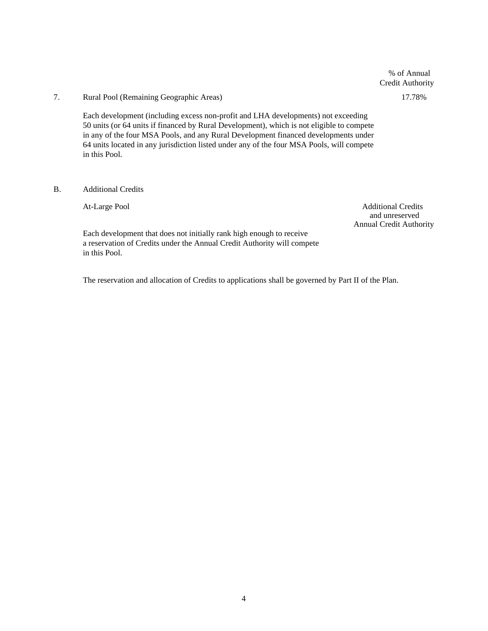# % of Annual Credit Authority

# 7. Rural Pool (Remaining Geographic Areas) 17.78%

Each development (including excess non-profit and LHA developments) not exceeding 50 units (or 64 units if financed by Rural Development), which is not eligible to compete in any of the four MSA Pools, and any Rural Development financed developments under 64 units located in any jurisdiction listed under any of the four MSA Pools, will compete in this Pool.

### B. Additional Credits

At-Large Pool Additional Credits and unreserved Annual Credit Authority

Each development that does not initially rank high enough to receive a reservation of Credits under the Annual Credit Authority will compete in this Pool.

The reservation and allocation of Credits to applications shall be governed by Part II of the Plan.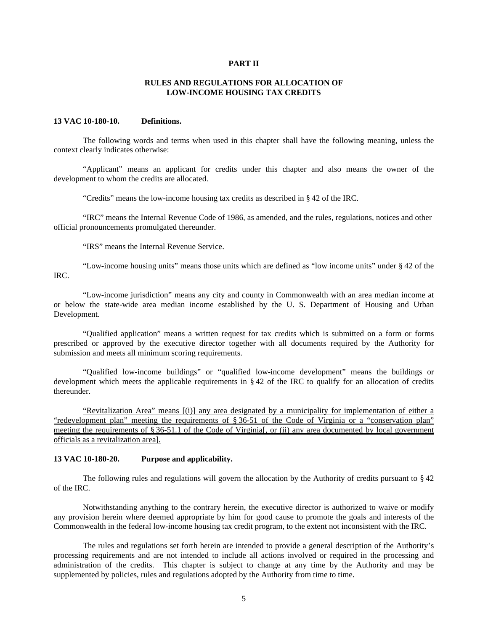#### **PART II**

# **RULES AND REGULATIONS FOR ALLOCATION OF LOW-INCOME HOUSING TAX CREDITS**

#### **13 VAC 10-180-10. Definitions.**

The following words and terms when used in this chapter shall have the following meaning, unless the context clearly indicates otherwise:

"Applicant" means an applicant for credits under this chapter and also means the owner of the development to whom the credits are allocated.

"Credits" means the low-income housing tax credits as described in § 42 of the IRC.

"IRC" means the Internal Revenue Code of 1986, as amended, and the rules, regulations, notices and other official pronouncements promulgated thereunder.

"IRS" means the Internal Revenue Service.

"Low-income housing units" means those units which are defined as "low income units" under § 42 of the IRC.

"Low-income jurisdiction" means any city and county in Commonwealth with an area median income at or below the state-wide area median income established by the U. S. Department of Housing and Urban Development.

"Qualified application" means a written request for tax credits which is submitted on a form or forms prescribed or approved by the executive director together with all documents required by the Authority for submission and meets all minimum scoring requirements.

"Qualified low-income buildings" or "qualified low-income development" means the buildings or development which meets the applicable requirements in § 42 of the IRC to qualify for an allocation of credits thereunder.

"Revitalization Area" means [(i)] any area designated by a municipality for implementation of either a "redevelopment plan" meeting the requirements of § 36-51 of the Code of Virginia or a "conservation plan" meeting the requirements of § 36-51.1 of the Code of Virginia[, or (ii) any area documented by local government officials as a revitalization area].

#### **13 VAC 10-180-20. Purpose and applicability.**

The following rules and regulations will govern the allocation by the Authority of credits pursuant to § 42 of the IRC.

Notwithstanding anything to the contrary herein, the executive director is authorized to waive or modify any provision herein where deemed appropriate by him for good cause to promote the goals and interests of the Commonwealth in the federal low-income housing tax credit program, to the extent not inconsistent with the IRC.

The rules and regulations set forth herein are intended to provide a general description of the Authority's processing requirements and are not intended to include all actions involved or required in the processing and administration of the credits. This chapter is subject to change at any time by the Authority and may be supplemented by policies, rules and regulations adopted by the Authority from time to time.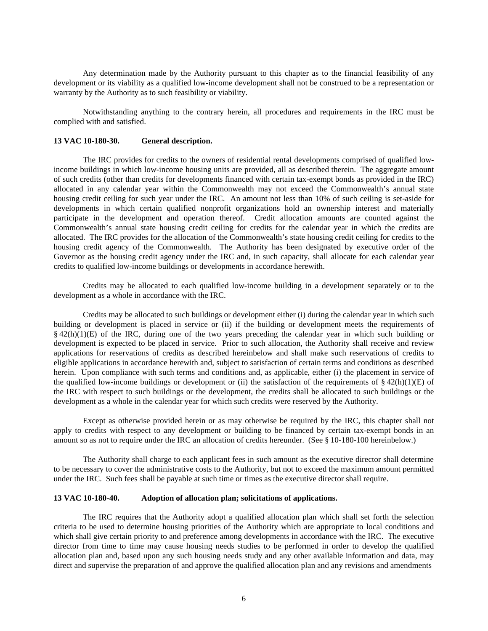Any determination made by the Authority pursuant to this chapter as to the financial feasibility of any development or its viability as a qualified low-income development shall not be construed to be a representation or warranty by the Authority as to such feasibility or viability.

Notwithstanding anything to the contrary herein, all procedures and requirements in the IRC must be complied with and satisfied.

#### **13 VAC 10-180-30. General description.**

The IRC provides for credits to the owners of residential rental developments comprised of qualified lowincome buildings in which low-income housing units are provided, all as described therein. The aggregate amount of such credits (other than credits for developments financed with certain tax-exempt bonds as provided in the IRC) allocated in any calendar year within the Commonwealth may not exceed the Commonwealth's annual state housing credit ceiling for such year under the IRC. An amount not less than 10% of such ceiling is set-aside for developments in which certain qualified nonprofit organizations hold an ownership interest and materially participate in the development and operation thereof. Credit allocation amounts are counted against the Commonwealth's annual state housing credit ceiling for credits for the calendar year in which the credits are allocated. The IRC provides for the allocation of the Commonwealth's state housing credit ceiling for credits to the housing credit agency of the Commonwealth. The Authority has been designated by executive order of the Governor as the housing credit agency under the IRC and, in such capacity, shall allocate for each calendar year credits to qualified low-income buildings or developments in accordance herewith.

Credits may be allocated to each qualified low-income building in a development separately or to the development as a whole in accordance with the IRC.

Credits may be allocated to such buildings or development either (i) during the calendar year in which such building or development is placed in service or (ii) if the building or development meets the requirements of  $§$  42(h)(1)(E) of the IRC, during one of the two years preceding the calendar year in which such building or development is expected to be placed in service. Prior to such allocation, the Authority shall receive and review applications for reservations of credits as described hereinbelow and shall make such reservations of credits to eligible applications in accordance herewith and, subject to satisfaction of certain terms and conditions as described herein. Upon compliance with such terms and conditions and, as applicable, either (i) the placement in service of the qualified low-income buildings or development or (ii) the satisfaction of the requirements of  $\S 42(h)(1)(E)$  of the IRC with respect to such buildings or the development, the credits shall be allocated to such buildings or the development as a whole in the calendar year for which such credits were reserved by the Authority.

Except as otherwise provided herein or as may otherwise be required by the IRC, this chapter shall not apply to credits with respect to any development or building to be financed by certain tax-exempt bonds in an amount so as not to require under the IRC an allocation of credits hereunder. (See § 10-180-100 hereinbelow.)

The Authority shall charge to each applicant fees in such amount as the executive director shall determine to be necessary to cover the administrative costs to the Authority, but not to exceed the maximum amount permitted under the IRC. Such fees shall be payable at such time or times as the executive director shall require.

#### **13 VAC 10-180-40. Adoption of allocation plan; solicitations of applications.**

The IRC requires that the Authority adopt a qualified allocation plan which shall set forth the selection criteria to be used to determine housing priorities of the Authority which are appropriate to local conditions and which shall give certain priority to and preference among developments in accordance with the IRC. The executive director from time to time may cause housing needs studies to be performed in order to develop the qualified allocation plan and, based upon any such housing needs study and any other available information and data, may direct and supervise the preparation of and approve the qualified allocation plan and any revisions and amendments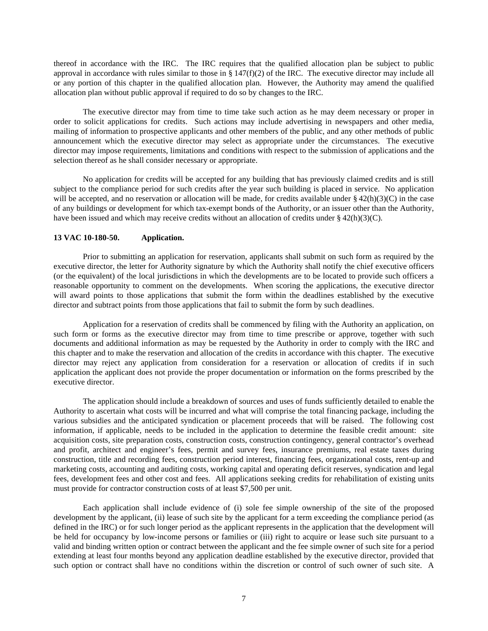thereof in accordance with the IRC. The IRC requires that the qualified allocation plan be subject to public approval in accordance with rules similar to those in  $\S 147(f)(2)$  of the IRC. The executive director may include all or any portion of this chapter in the qualified allocation plan. However, the Authority may amend the qualified allocation plan without public approval if required to do so by changes to the IRC.

The executive director may from time to time take such action as he may deem necessary or proper in order to solicit applications for credits. Such actions may include advertising in newspapers and other media, mailing of information to prospective applicants and other members of the public, and any other methods of public announcement which the executive director may select as appropriate under the circumstances. The executive director may impose requirements, limitations and conditions with respect to the submission of applications and the selection thereof as he shall consider necessary or appropriate.

No application for credits will be accepted for any building that has previously claimed credits and is still subject to the compliance period for such credits after the year such building is placed in service. No application will be accepted, and no reservation or allocation will be made, for credits available under  $\S 42(h)(3)(C)$  in the case of any buildings or development for which tax-exempt bonds of the Authority, or an issuer other than the Authority, have been issued and which may receive credits without an allocation of credits under  $\S 42(h)(3)(C)$ .

### **13 VAC 10-180-50. Application.**

Prior to submitting an application for reservation, applicants shall submit on such form as required by the executive director, the letter for Authority signature by which the Authority shall notify the chief executive officers (or the equivalent) of the local jurisdictions in which the developments are to be located to provide such officers a reasonable opportunity to comment on the developments. When scoring the applications, the executive director will award points to those applications that submit the form within the deadlines established by the executive director and subtract points from those applications that fail to submit the form by such deadlines.

Application for a reservation of credits shall be commenced by filing with the Authority an application, on such form or forms as the executive director may from time to time prescribe or approve, together with such documents and additional information as may be requested by the Authority in order to comply with the IRC and this chapter and to make the reservation and allocation of the credits in accordance with this chapter. The executive director may reject any application from consideration for a reservation or allocation of credits if in such application the applicant does not provide the proper documentation or information on the forms prescribed by the executive director.

The application should include a breakdown of sources and uses of funds sufficiently detailed to enable the Authority to ascertain what costs will be incurred and what will comprise the total financing package, including the various subsidies and the anticipated syndication or placement proceeds that will be raised. The following cost information, if applicable, needs to be included in the application to determine the feasible credit amount: site acquisition costs, site preparation costs, construction costs, construction contingency, general contractor's overhead and profit, architect and engineer's fees, permit and survey fees, insurance premiums, real estate taxes during construction, title and recording fees, construction period interest, financing fees, organizational costs, rent-up and marketing costs, accounting and auditing costs, working capital and operating deficit reserves, syndication and legal fees, development fees and other cost and fees. All applications seeking credits for rehabilitation of existing units must provide for contractor construction costs of at least \$7,500 per unit.

Each application shall include evidence of (i) sole fee simple ownership of the site of the proposed development by the applicant, (ii) lease of such site by the applicant for a term exceeding the compliance period (as defined in the IRC) or for such longer period as the applicant represents in the application that the development will be held for occupancy by low-income persons or families or (iii) right to acquire or lease such site pursuant to a valid and binding written option or contract between the applicant and the fee simple owner of such site for a period extending at least four months beyond any application deadline established by the executive director, provided that such option or contract shall have no conditions within the discretion or control of such owner of such site. A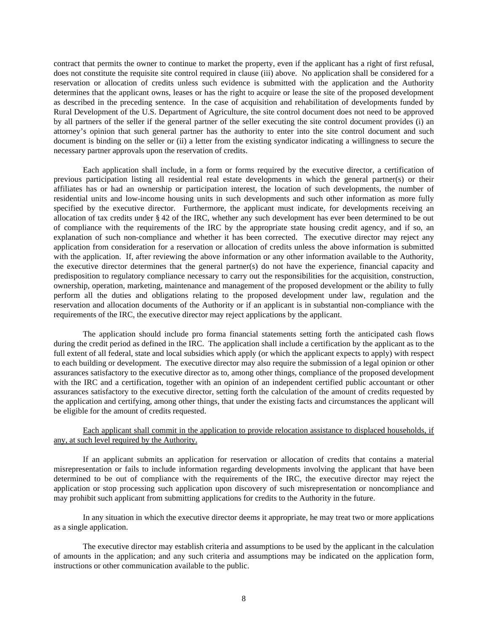contract that permits the owner to continue to market the property, even if the applicant has a right of first refusal, does not constitute the requisite site control required in clause (iii) above. No application shall be considered for a reservation or allocation of credits unless such evidence is submitted with the application and the Authority determines that the applicant owns, leases or has the right to acquire or lease the site of the proposed development as described in the preceding sentence. In the case of acquisition and rehabilitation of developments funded by Rural Development of the U.S. Department of Agriculture, the site control document does not need to be approved by all partners of the seller if the general partner of the seller executing the site control document provides (i) an attorney's opinion that such general partner has the authority to enter into the site control document and such document is binding on the seller or (ii) a letter from the existing syndicator indicating a willingness to secure the necessary partner approvals upon the reservation of credits.

Each application shall include, in a form or forms required by the executive director, a certification of previous participation listing all residential real estate developments in which the general partner(s) or their affiliates has or had an ownership or participation interest, the location of such developments, the number of residential units and low-income housing units in such developments and such other information as more fully specified by the executive director. Furthermore, the applicant must indicate, for developments receiving an allocation of tax credits under § 42 of the IRC, whether any such development has ever been determined to be out of compliance with the requirements of the IRC by the appropriate state housing credit agency, and if so, an explanation of such non-compliance and whether it has been corrected. The executive director may reject any application from consideration for a reservation or allocation of credits unless the above information is submitted with the application. If, after reviewing the above information or any other information available to the Authority, the executive director determines that the general partner(s) do not have the experience, financial capacity and predisposition to regulatory compliance necessary to carry out the responsibilities for the acquisition, construction, ownership, operation, marketing, maintenance and management of the proposed development or the ability to fully perform all the duties and obligations relating to the proposed development under law, regulation and the reservation and allocation documents of the Authority or if an applicant is in substantial non-compliance with the requirements of the IRC, the executive director may reject applications by the applicant.

The application should include pro forma financial statements setting forth the anticipated cash flows during the credit period as defined in the IRC. The application shall include a certification by the applicant as to the full extent of all federal, state and local subsidies which apply (or which the applicant expects to apply) with respect to each building or development. The executive director may also require the submission of a legal opinion or other assurances satisfactory to the executive director as to, among other things, compliance of the proposed development with the IRC and a certification, together with an opinion of an independent certified public accountant or other assurances satisfactory to the executive director, setting forth the calculation of the amount of credits requested by the application and certifying, among other things, that under the existing facts and circumstances the applicant will be eligible for the amount of credits requested.

# Each applicant shall commit in the application to provide relocation assistance to displaced households, if any, at such level required by the Authority.

If an applicant submits an application for reservation or allocation of credits that contains a material misrepresentation or fails to include information regarding developments involving the applicant that have been determined to be out of compliance with the requirements of the IRC, the executive director may reject the application or stop processing such application upon discovery of such misrepresentation or noncompliance and may prohibit such applicant from submitting applications for credits to the Authority in the future.

In any situation in which the executive director deems it appropriate, he may treat two or more applications as a single application.

The executive director may establish criteria and assumptions to be used by the applicant in the calculation of amounts in the application; and any such criteria and assumptions may be indicated on the application form, instructions or other communication available to the public.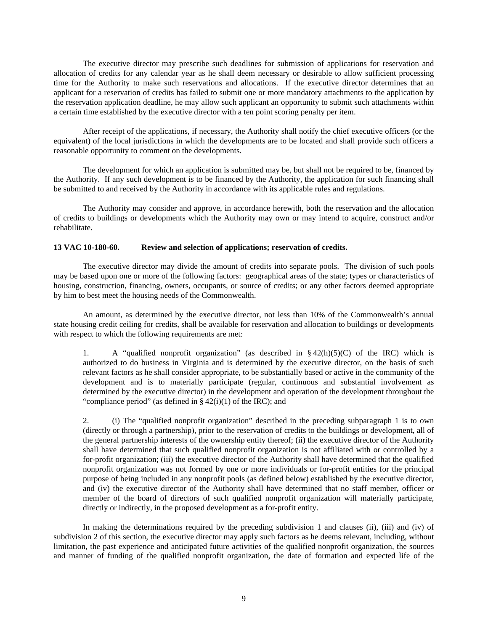The executive director may prescribe such deadlines for submission of applications for reservation and allocation of credits for any calendar year as he shall deem necessary or desirable to allow sufficient processing time for the Authority to make such reservations and allocations. If the executive director determines that an applicant for a reservation of credits has failed to submit one or more mandatory attachments to the application by the reservation application deadline, he may allow such applicant an opportunity to submit such attachments within a certain time established by the executive director with a ten point scoring penalty per item.

After receipt of the applications, if necessary, the Authority shall notify the chief executive officers (or the equivalent) of the local jurisdictions in which the developments are to be located and shall provide such officers a reasonable opportunity to comment on the developments.

The development for which an application is submitted may be, but shall not be required to be, financed by the Authority. If any such development is to be financed by the Authority, the application for such financing shall be submitted to and received by the Authority in accordance with its applicable rules and regulations.

The Authority may consider and approve, in accordance herewith, both the reservation and the allocation of credits to buildings or developments which the Authority may own or may intend to acquire, construct and/or rehabilitate.

### **13 VAC 10-180-60. Review and selection of applications; reservation of credits.**

The executive director may divide the amount of credits into separate pools. The division of such pools may be based upon one or more of the following factors: geographical areas of the state; types or characteristics of housing, construction, financing, owners, occupants, or source of credits; or any other factors deemed appropriate by him to best meet the housing needs of the Commonwealth.

An amount, as determined by the executive director, not less than 10% of the Commonwealth's annual state housing credit ceiling for credits, shall be available for reservation and allocation to buildings or developments with respect to which the following requirements are met:

1. A "qualified nonprofit organization" (as described in  $\S 42(h)(5)(C)$  of the IRC) which is authorized to do business in Virginia and is determined by the executive director, on the basis of such relevant factors as he shall consider appropriate, to be substantially based or active in the community of the development and is to materially participate (regular, continuous and substantial involvement as determined by the executive director) in the development and operation of the development throughout the "compliance period" (as defined in  $\S 42(i)(1)$  of the IRC); and

2. (i) The "qualified nonprofit organization" described in the preceding subparagraph 1 is to own (directly or through a partnership), prior to the reservation of credits to the buildings or development, all of the general partnership interests of the ownership entity thereof; (ii) the executive director of the Authority shall have determined that such qualified nonprofit organization is not affiliated with or controlled by a for-profit organization; (iii) the executive director of the Authority shall have determined that the qualified nonprofit organization was not formed by one or more individuals or for-profit entities for the principal purpose of being included in any nonprofit pools (as defined below) established by the executive director, and (iv) the executive director of the Authority shall have determined that no staff member, officer or member of the board of directors of such qualified nonprofit organization will materially participate, directly or indirectly, in the proposed development as a for-profit entity.

In making the determinations required by the preceding subdivision 1 and clauses (ii), (iii) and (iv) of subdivision 2 of this section, the executive director may apply such factors as he deems relevant, including, without limitation, the past experience and anticipated future activities of the qualified nonprofit organization, the sources and manner of funding of the qualified nonprofit organization, the date of formation and expected life of the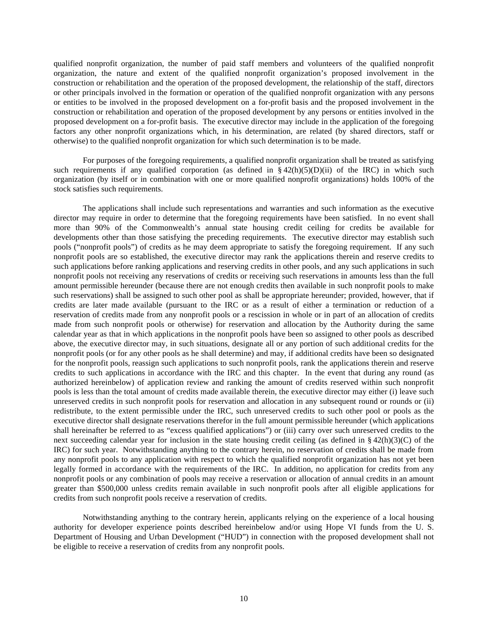qualified nonprofit organization, the number of paid staff members and volunteers of the qualified nonprofit organization, the nature and extent of the qualified nonprofit organization's proposed involvement in the construction or rehabilitation and the operation of the proposed development, the relationship of the staff, directors or other principals involved in the formation or operation of the qualified nonprofit organization with any persons or entities to be involved in the proposed development on a for-profit basis and the proposed involvement in the construction or rehabilitation and operation of the proposed development by any persons or entities involved in the proposed development on a for-profit basis. The executive director may include in the application of the foregoing factors any other nonprofit organizations which, in his determination, are related (by shared directors, staff or otherwise) to the qualified nonprofit organization for which such determination is to be made.

For purposes of the foregoing requirements, a qualified nonprofit organization shall be treated as satisfying such requirements if any qualified corporation (as defined in  $\S 42(h)(5)(D)(ii)$  of the IRC) in which such organization (by itself or in combination with one or more qualified nonprofit organizations) holds 100% of the stock satisfies such requirements.

The applications shall include such representations and warranties and such information as the executive director may require in order to determine that the foregoing requirements have been satisfied. In no event shall more than 90% of the Commonwealth's annual state housing credit ceiling for credits be available for developments other than those satisfying the preceding requirements. The executive director may establish such pools ("nonprofit pools") of credits as he may deem appropriate to satisfy the foregoing requirement. If any such nonprofit pools are so established, the executive director may rank the applications therein and reserve credits to such applications before ranking applications and reserving credits in other pools, and any such applications in such nonprofit pools not receiving any reservations of credits or receiving such reservations in amounts less than the full amount permissible hereunder (because there are not enough credits then available in such nonprofit pools to make such reservations) shall be assigned to such other pool as shall be appropriate hereunder; provided, however, that if credits are later made available (pursuant to the IRC or as a result of either a termination or reduction of a reservation of credits made from any nonprofit pools or a rescission in whole or in part of an allocation of credits made from such nonprofit pools or otherwise) for reservation and allocation by the Authority during the same calendar year as that in which applications in the nonprofit pools have been so assigned to other pools as described above, the executive director may, in such situations, designate all or any portion of such additional credits for the nonprofit pools (or for any other pools as he shall determine) and may, if additional credits have been so designated for the nonprofit pools, reassign such applications to such nonprofit pools, rank the applications therein and reserve credits to such applications in accordance with the IRC and this chapter. In the event that during any round (as authorized hereinbelow) of application review and ranking the amount of credits reserved within such nonprofit pools is less than the total amount of credits made available therein, the executive director may either (i) leave such unreserved credits in such nonprofit pools for reservation and allocation in any subsequent round or rounds or (ii) redistribute, to the extent permissible under the IRC, such unreserved credits to such other pool or pools as the executive director shall designate reservations therefor in the full amount permissible hereunder (which applications shall hereinafter be referred to as "excess qualified applications") or (iii) carry over such unreserved credits to the next succeeding calendar year for inclusion in the state housing credit ceiling (as defined in § 42(h)(3)(C) of the IRC) for such year. Notwithstanding anything to the contrary herein, no reservation of credits shall be made from any nonprofit pools to any application with respect to which the qualified nonprofit organization has not yet been legally formed in accordance with the requirements of the IRC. In addition, no application for credits from any nonprofit pools or any combination of pools may receive a reservation or allocation of annual credits in an amount greater than \$500,000 unless credits remain available in such nonprofit pools after all eligible applications for credits from such nonprofit pools receive a reservation of credits.

Notwithstanding anything to the contrary herein, applicants relying on the experience of a local housing authority for developer experience points described hereinbelow and/or using Hope VI funds from the U. S. Department of Housing and Urban Development ("HUD") in connection with the proposed development shall not be eligible to receive a reservation of credits from any nonprofit pools.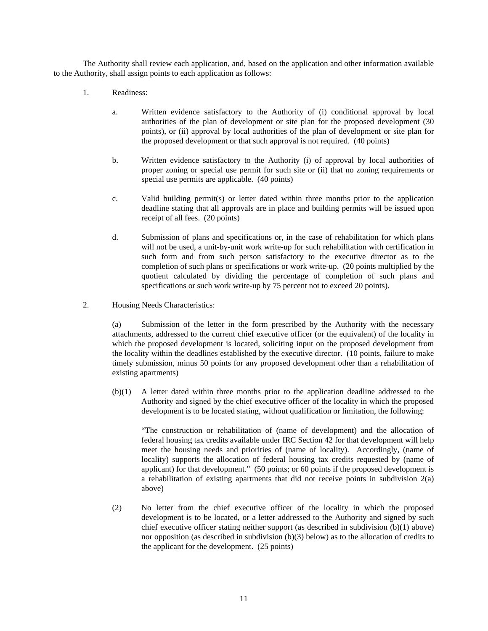The Authority shall review each application, and, based on the application and other information available to the Authority, shall assign points to each application as follows:

- 1. Readiness:
	- a. Written evidence satisfactory to the Authority of (i) conditional approval by local authorities of the plan of development or site plan for the proposed development (30 points), or (ii) approval by local authorities of the plan of development or site plan for the proposed development or that such approval is not required. (40 points)
	- b. Written evidence satisfactory to the Authority (i) of approval by local authorities of proper zoning or special use permit for such site or (ii) that no zoning requirements or special use permits are applicable. (40 points)
	- c. Valid building permit(s) or letter dated within three months prior to the application deadline stating that all approvals are in place and building permits will be issued upon receipt of all fees. (20 points)
	- d. Submission of plans and specifications or, in the case of rehabilitation for which plans will not be used, a unit-by-unit work write-up for such rehabilitation with certification in such form and from such person satisfactory to the executive director as to the completion of such plans or specifications or work write-up. (20 points multiplied by the quotient calculated by dividing the percentage of completion of such plans and specifications or such work write-up by 75 percent not to exceed 20 points).
- 2. Housing Needs Characteristics:

(a) Submission of the letter in the form prescribed by the Authority with the necessary attachments, addressed to the current chief executive officer (or the equivalent) of the locality in which the proposed development is located, soliciting input on the proposed development from the locality within the deadlines established by the executive director. (10 points, failure to make timely submission, minus 50 points for any proposed development other than a rehabilitation of existing apartments)

(b)(1) A letter dated within three months prior to the application deadline addressed to the Authority and signed by the chief executive officer of the locality in which the proposed development is to be located stating, without qualification or limitation, the following:

"The construction or rehabilitation of (name of development) and the allocation of federal housing tax credits available under IRC Section 42 for that development will help meet the housing needs and priorities of (name of locality). Accordingly, (name of locality) supports the allocation of federal housing tax credits requested by (name of applicant) for that development." (50 points; or 60 points if the proposed development is a rehabilitation of existing apartments that did not receive points in subdivision  $2(a)$ above)

(2) No letter from the chief executive officer of the locality in which the proposed development is to be located, or a letter addressed to the Authority and signed by such chief executive officer stating neither support (as described in subdivision (b)(1) above) nor opposition (as described in subdivision (b)(3) below) as to the allocation of credits to the applicant for the development. (25 points)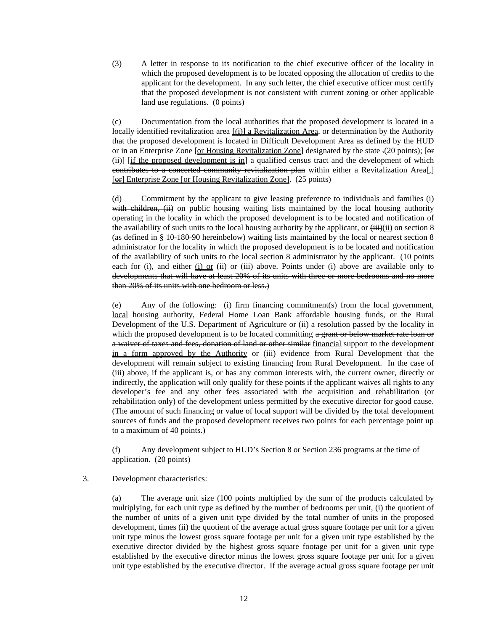(3) A letter in response to its notification to the chief executive officer of the locality in which the proposed development is to be located opposing the allocation of credits to the applicant for the development. In any such letter, the chief executive officer must certify that the proposed development is not consistent with current zoning or other applicable land use regulations. (0 points)

 $(c)$  Documentation from the local authorities that the proposed development is located in  $\alpha$ locally identified revitalization area [(i)] a Revitalization Area, or determination by the Authority that the proposed development is located in Difficult Development Area as defined by the HUD or in an Enterprise Zone [or Housing Revitalization Zone] designated by the state .(20 points); [or (ii)] [if the proposed development is in] a qualified census tract and the development of which contributes to a concerted community revitalization plan within either a Revitalization Area[,] [ $\Theta$ r] Enterprise Zone [or Housing Revitalization Zone]. (25 points)

(d) Commitment by the applicant to give leasing preference to individuals and families (i) with children, (ii) on public housing waiting lists maintained by the local housing authority operating in the locality in which the proposed development is to be located and notification of the availability of such units to the local housing authority by the applicant, or  $\frac{1}{11}$ (ii) on section 8 (as defined in § 10-180-90 hereinbelow) waiting lists maintained by the local or nearest section 8 administrator for the locality in which the proposed development is to be located and notification of the availability of such units to the local section 8 administrator by the applicant. (10 points each for  $(i)$ , and either  $(i)$  or  $(ii)$  or  $(iii)$  above. Points under  $(i)$  above are available only to developments that will have at least 20% of its units with three or more bedrooms and no more than 20% of its units with one bedroom or less.)

(e) Any of the following: (i) firm financing commitment(s) from the local government, local housing authority, Federal Home Loan Bank affordable housing funds, or the Rural Development of the U.S. Department of Agriculture or (ii) a resolution passed by the locality in which the proposed development is to be located committing a grant or below-market rate loan or a waiver of taxes and fees, donation of land or other similar financial support to the development in a form approved by the Authority or (iii) evidence from Rural Development that the development will remain subject to existing financing from Rural Development. In the case of (iii) above, if the applicant is, or has any common interests with, the current owner, directly or indirectly, the application will only qualify for these points if the applicant waives all rights to any developer's fee and any other fees associated with the acquisition and rehabilitation (or rehabilitation only) of the development unless permitted by the executive director for good cause. (The amount of such financing or value of local support will be divided by the total development sources of funds and the proposed development receives two points for each percentage point up to a maximum of 40 points.)

(f) Any development subject to HUD's Section 8 or Section 236 programs at the time of application. (20 points)

# 3. Development characteristics:

(a) The average unit size (100 points multiplied by the sum of the products calculated by multiplying, for each unit type as defined by the number of bedrooms per unit, (i) the quotient of the number of units of a given unit type divided by the total number of units in the proposed development, times (ii) the quotient of the average actual gross square footage per unit for a given unit type minus the lowest gross square footage per unit for a given unit type established by the executive director divided by the highest gross square footage per unit for a given unit type established by the executive director minus the lowest gross square footage per unit for a given unit type established by the executive director. If the average actual gross square footage per unit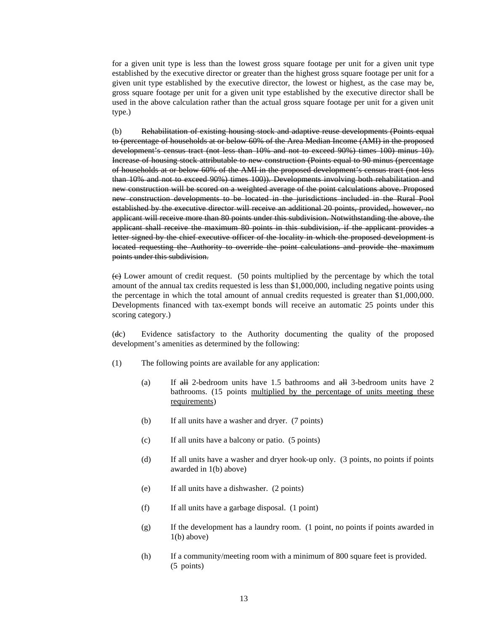for a given unit type is less than the lowest gross square footage per unit for a given unit type established by the executive director or greater than the highest gross square footage per unit for a given unit type established by the executive director, the lowest or highest, as the case may be, gross square footage per unit for a given unit type established by the executive director shall be used in the above calculation rather than the actual gross square footage per unit for a given unit type.)

(b) Rehabilitation of existing housing stock and adaptive reuse developments (Points equal to (percentage of households at or below 60% of the Area Median Income (AMI) in the proposed development's census tract (not less than 10% and not to exceed 90%) times 100) minus 10). Increase of housing stock attributable to new construction (Points equal to 90 minus (percentage of households at or below 60% of the AMI in the proposed development's census tract (not less than 10% and not to exceed 90%) times 100)). Developments involving both rehabilitation and new construction will be scored on a weighted average of the point calculations above. Proposed new construction developments to be located in the jurisdictions included in the Rural Pool established by the executive director will receive an additional 20 points, provided, however, no applicant will receive more than 80 points under this subdivision. Notwithstanding the above, the applicant shall receive the maximum 80 points in this subdivision, if the applicant provides a letter signed by the chief executive officer of the locality in which the proposed development is located requesting the Authority to override the point calculations and provide the maximum points under this subdivision.

 $(e)$  Lower amount of credit request. (50 points multiplied by the percentage by which the total amount of the annual tax credits requested is less than \$1,000,000, including negative points using the percentage in which the total amount of annual credits requested is greater than \$1,000,000. Developments financed with tax-exempt bonds will receive an automatic 25 points under this scoring category.)

(dc) Evidence satisfactory to the Authority documenting the quality of the proposed development's amenities as determined by the following:

- (1) The following points are available for any application:
	- (a) If all 2-bedroom units have 1.5 bathrooms and all 3-bedroom units have 2 bathrooms. (15 points multiplied by the percentage of units meeting these requirements)
	- (b) If all units have a washer and dryer. (7 points)
	- (c) If all units have a balcony or patio. (5 points)
	- (d) If all units have a washer and dryer hook-up only. (3 points, no points if points awarded in 1(b) above)
	- (e) If all units have a dishwasher. (2 points)
	- (f) If all units have a garbage disposal. (1 point)
	- (g) If the development has a laundry room. (1 point, no points if points awarded in  $1(b)$  above)
	- (h) If a community/meeting room with a minimum of 800 square feet is provided. (5 points)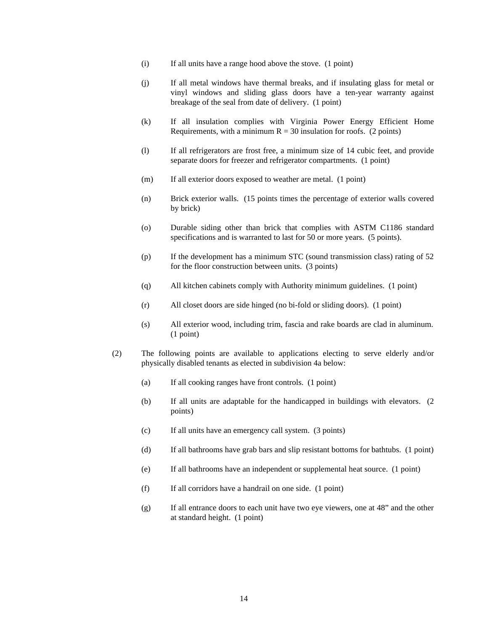- (i) If all units have a range hood above the stove. (1 point)
- (j) If all metal windows have thermal breaks, and if insulating glass for metal or vinyl windows and sliding glass doors have a ten-year warranty against breakage of the seal from date of delivery. (1 point)
- (k) If all insulation complies with Virginia Power Energy Efficient Home Requirements, with a minimum  $R = 30$  insulation for roofs. (2 points)
- (l) If all refrigerators are frost free, a minimum size of 14 cubic feet, and provide separate doors for freezer and refrigerator compartments. (1 point)
- (m) If all exterior doors exposed to weather are metal. (1 point)
- (n) Brick exterior walls. (15 points times the percentage of exterior walls covered by brick)
- (o) Durable siding other than brick that complies with ASTM C1186 standard specifications and is warranted to last for 50 or more years. (5 points).
- (p) If the development has a minimum STC (sound transmission class) rating of 52 for the floor construction between units. (3 points)
- (q) All kitchen cabinets comply with Authority minimum guidelines. (1 point)
- (r) All closet doors are side hinged (no bi-fold or sliding doors). (1 point)
- (s) All exterior wood, including trim, fascia and rake boards are clad in aluminum. (1 point)
- (2) The following points are available to applications electing to serve elderly and/or physically disabled tenants as elected in subdivision 4a below:
	- (a) If all cooking ranges have front controls. (1 point)
	- (b) If all units are adaptable for the handicapped in buildings with elevators. (2 points)
	- (c) If all units have an emergency call system. (3 points)
	- (d) If all bathrooms have grab bars and slip resistant bottoms for bathtubs. (1 point)
	- (e) If all bathrooms have an independent or supplemental heat source. (1 point)
	- (f) If all corridors have a handrail on one side. (1 point)
	- (g) If all entrance doors to each unit have two eye viewers, one at 48" and the other at standard height. (1 point)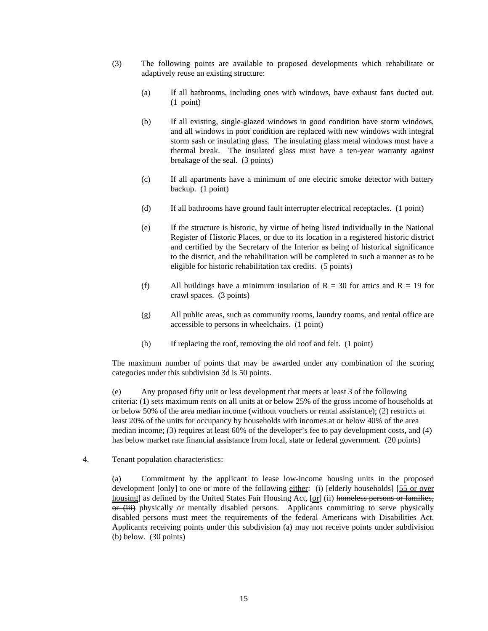- (3) The following points are available to proposed developments which rehabilitate or adaptively reuse an existing structure:
	- (a) If all bathrooms, including ones with windows, have exhaust fans ducted out. (1 point)
	- (b) If all existing, single-glazed windows in good condition have storm windows, and all windows in poor condition are replaced with new windows with integral storm sash or insulating glass. The insulating glass metal windows must have a thermal break. The insulated glass must have a ten-year warranty against breakage of the seal. (3 points)
	- (c) If all apartments have a minimum of one electric smoke detector with battery backup. (1 point)
	- (d) If all bathrooms have ground fault interrupter electrical receptacles. (1 point)
	- (e) If the structure is historic, by virtue of being listed individually in the National Register of Historic Places, or due to its location in a registered historic district and certified by the Secretary of the Interior as being of historical significance to the district, and the rehabilitation will be completed in such a manner as to be eligible for historic rehabilitation tax credits. (5 points)
	- (f) All buildings have a minimum insulation of  $R = 30$  for attics and  $R = 19$  for crawl spaces. (3 points)
	- (g) All public areas, such as community rooms, laundry rooms, and rental office are accessible to persons in wheelchairs. (1 point)
	- (h) If replacing the roof, removing the old roof and felt. (1 point)

The maximum number of points that may be awarded under any combination of the scoring categories under this subdivision 3d is 50 points.

(e) Any proposed fifty unit or less development that meets at least 3 of the following criteria: (1) sets maximum rents on all units at or below 25% of the gross income of households at or below 50% of the area median income (without vouchers or rental assistance); (2) restricts at least 20% of the units for occupancy by households with incomes at or below 40% of the area median income; (3) requires at least 60% of the developer's fee to pay development costs, and (4) has below market rate financial assistance from local, state or federal government. (20 points)

4. Tenant population characteristics:

(a) Commitment by the applicant to lease low-income housing units in the proposed development [only] to one or more of the following either: (i) [elderly households] [55 or over housing] as defined by the United States Fair Housing Act,  $[\alpha r]$  (ii) homeless persons or families, or (iii) physically or mentally disabled persons. Applicants committing to serve physically disabled persons must meet the requirements of the federal Americans with Disabilities Act. Applicants receiving points under this subdivision (a) may not receive points under subdivision (b) below. (30 points)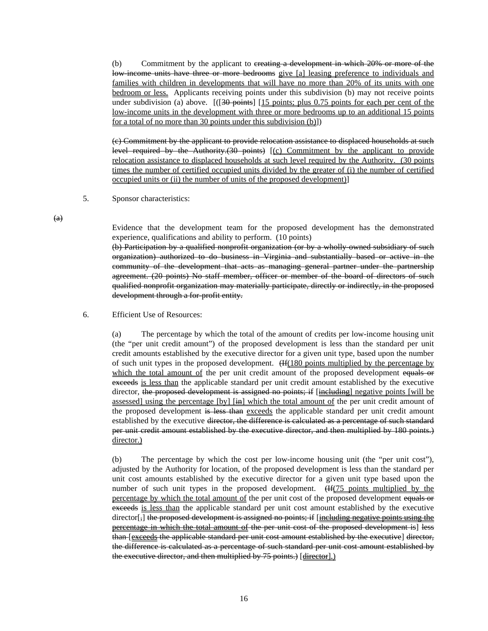(b) Commitment by the applicant to <del>creating a development in which 20% or more of the</del> low-income units have three or more bedrooms give [a] leasing preference to individuals and families with children in developments that will have no more than 20% of its units with one bedroom or less. Applicants receiving points under this subdivision (b) may not receive points under subdivision (a) above.  $[(30 \text{ points} \cdot 15 \text{ points}) \cdot 0.75 \cdot 0.75 \cdot 0.75 \cdot 0.75 \cdot 0.75 \cdot 0.75 \cdot 0.75 \cdot 0.75 \cdot 0.75 \cdot 0.75 \cdot 0.75 \cdot 0.75 \cdot 0.75 \cdot 0.75 \cdot 0.75 \cdot 0.75 \cdot 0.75 \cdot 0.75 \cdot 0.75 \cdot 0.75 \cdot 0.75 \cdot 0.75 \cdot 0.75 \cdot 0.75 \cdot 0.$ low-income units in the development with three or more bedrooms up to an additional 15 points for a total of no more than 30 points under this subdivision (b)])

(c) Commitment by the applicant to provide relocation assistance to displaced households at such level required by the Authority. $(30 \text{ points})$   $[(c)$  Commitment by the applicant to provide relocation assistance to displaced households at such level required by the Authority. (30 points times the number of certified occupied units divided by the greater of (i) the number of certified occupied units or (ii) the number of units of the proposed development)]

5. Sponsor characteristics:

 $(a)$ 

Evidence that the development team for the proposed development has the demonstrated experience, qualifications and ability to perform. (10 points)

(b) Participation by a qualified nonprofit organization (or by a wholly-owned subsidiary of such organization) authorized to do business in Virginia and substantially based or active in the community of the development that acts as managing general partner under the partnership agreement. (20 points) No staff member, officer or member of the board of directors of such qualified nonprofit organization may materially participate, directly or indirectly, in the proposed development through a for-profit entity.

### 6. Efficient Use of Resources:

(a) The percentage by which the total of the amount of credits per low-income housing unit (the "per unit credit amount") of the proposed development is less than the standard per unit credit amounts established by the executive director for a given unit type, based upon the number of such unit types in the proposed development.  $Hf(180 \text{ points multiplied by the percentage by})$ which the total amount of the per unit credit amount of the proposed development equals or exceeds is less than the applicable standard per unit credit amount established by the executive director, the proposed development is assigned no points; if [including] negative points [will be assessed] using the percentage  $[by]$   $[\frac{1}{1}$  which the total amount of the per unit credit amount of the proposed development is less than exceeds the applicable standard per unit credit amount established by the executive <del>director, the difference is calculated as a percentage of such standard</del> per unit credit amount established by the executive director, and then multiplied by 180 points.) director.)

(b) The percentage by which the cost per low-income housing unit (the "per unit cost"), adjusted by the Authority for location, of the proposed development is less than the standard per unit cost amounts established by the executive director for a given unit type based upon the number of such unit types in the proposed development. (Henry Henry in the proposed development.  $\frac{1}{2}$  Henry in the proposed development.  $\frac{1}{2}$  Henry in the proposed development. percentage by which the total amount of the per unit cost of the proposed development equals or exceeds is less than the applicable standard per unit cost amount established by the executive director<sup>[</sup>,] the proposed development is assigned no points; if  $\left[$  including negative points using the percentage in which the total amount of the per unit cost of the proposed development is] less than [exceeds the applicable standard per unit cost amount established by the executive] director, the difference is calculated as a percentage of such standard per unit cost amount established by the executive director, and then multiplied by 75 points.) [director].)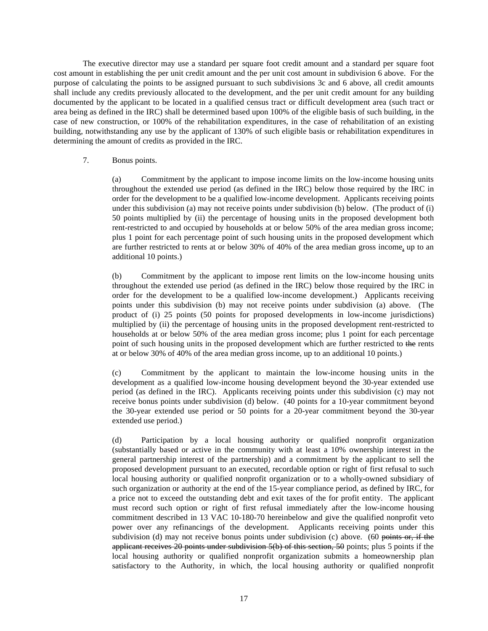The executive director may use a standard per square foot credit amount and a standard per square foot cost amount in establishing the per unit credit amount and the per unit cost amount in subdivision 6 above. For the purpose of calculating the points to be assigned pursuant to such subdivisions 3c and 6 above, all credit amounts shall include any credits previously allocated to the development, and the per unit credit amount for any building documented by the applicant to be located in a qualified census tract or difficult development area (such tract or area being as defined in the IRC) shall be determined based upon 100% of the eligible basis of such building, in the case of new construction, or 100% of the rehabilitation expenditures, in the case of rehabilitation of an existing building, notwithstanding any use by the applicant of 130% of such eligible basis or rehabilitation expenditures in determining the amount of credits as provided in the IRC.

### 7. Bonus points.

(a) Commitment by the applicant to impose income limits on the low-income housing units throughout the extended use period (as defined in the IRC) below those required by the IRC in order for the development to be a qualified low-income development. Applicants receiving points under this subdivision (a) may not receive points under subdivision (b) below. (The product of (i) 50 points multiplied by (ii) the percentage of housing units in the proposed development both rent-restricted to and occupied by households at or below 50% of the area median gross income; plus 1 point for each percentage point of such housing units in the proposed development which are further restricted to rents at or below 30% of 40% of the area median gross income, up to an additional 10 points.)

(b) Commitment by the applicant to impose rent limits on the low-income housing units throughout the extended use period (as defined in the IRC) below those required by the IRC in order for the development to be a qualified low-income development.) Applicants receiving points under this subdivision (b) may not receive points under subdivision (a) above. (The product of (i) 25 points (50 points for proposed developments in low-income jurisdictions) multiplied by (ii) the percentage of housing units in the proposed development rent-restricted to households at or below 50% of the area median gross income; plus 1 point for each percentage point of such housing units in the proposed development which are further restricted to the rents at or below 30% of 40% of the area median gross income, up to an additional 10 points.)

(c) Commitment by the applicant to maintain the low-income housing units in the development as a qualified low-income housing development beyond the 30-year extended use period (as defined in the IRC). Applicants receiving points under this subdivision (c) may not receive bonus points under subdivision (d) below. (40 points for a 10-year commitment beyond the 30-year extended use period or 50 points for a 20-year commitment beyond the 30-year extended use period.)

(d) Participation by a local housing authority or qualified nonprofit organization (substantially based or active in the community with at least a 10% ownership interest in the general partnership interest of the partnership) and a commitment by the applicant to sell the proposed development pursuant to an executed, recordable option or right of first refusal to such local housing authority or qualified nonprofit organization or to a wholly-owned subsidiary of such organization or authority at the end of the 15-year compliance period, as defined by IRC, for a price not to exceed the outstanding debt and exit taxes of the for profit entity. The applicant must record such option or right of first refusal immediately after the low-income housing commitment described in 13 VAC 10-180-70 hereinbelow and give the qualified nonprofit veto power over any refinancings of the development. Applicants receiving points under this subdivision (d) may not receive bonus points under subdivision (c) above. (60 points or, if the applicant receives 20 points under subdivision 5(b) of this section, 50 points; plus 5 points if the local housing authority or qualified nonprofit organization submits a homeownership plan satisfactory to the Authority, in which, the local housing authority or qualified nonprofit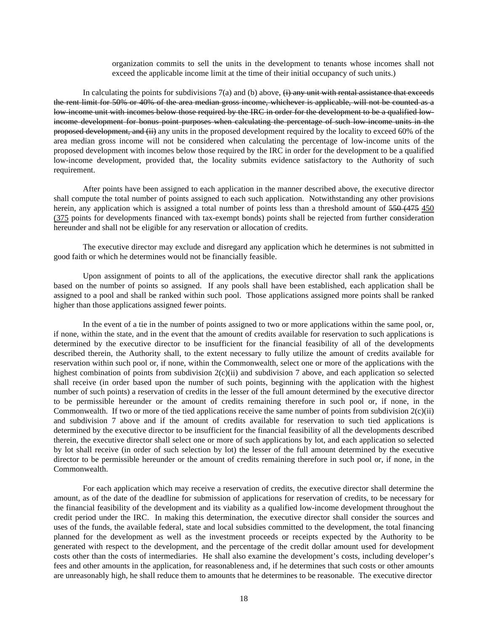organization commits to sell the units in the development to tenants whose incomes shall not exceed the applicable income limit at the time of their initial occupancy of such units.)

In calculating the points for subdivisions  $7(a)$  and (b) above,  $\overrightarrow{(i)}$  any unit with rental assistance that exceeds the rent limit for 50% or 40% of the area median gross income, whichever is applicable, will not be counted as a low income unit with incomes below those required by the IRC in order for the development to be a qualified lowincome development for bonus point purposes when calculating the percentage of such low-income units in the proposed development, and (ii) any units in the proposed development required by the locality to exceed 60% of the area median gross income will not be considered when calculating the percentage of low-income units of the proposed development with incomes below those required by the IRC in order for the development to be a qualified low-income development, provided that, the locality submits evidence satisfactory to the Authority of such requirement.

After points have been assigned to each application in the manner described above, the executive director shall compute the total number of points assigned to each such application. Notwithstanding any other provisions herein, any application which is assigned a total number of points less than a threshold amount of 550 (475 450 (375 points for developments financed with tax-exempt bonds) points shall be rejected from further consideration hereunder and shall not be eligible for any reservation or allocation of credits.

The executive director may exclude and disregard any application which he determines is not submitted in good faith or which he determines would not be financially feasible.

Upon assignment of points to all of the applications, the executive director shall rank the applications based on the number of points so assigned. If any pools shall have been established, each application shall be assigned to a pool and shall be ranked within such pool. Those applications assigned more points shall be ranked higher than those applications assigned fewer points.

In the event of a tie in the number of points assigned to two or more applications within the same pool, or, if none, within the state, and in the event that the amount of credits available for reservation to such applications is determined by the executive director to be insufficient for the financial feasibility of all of the developments described therein, the Authority shall, to the extent necessary to fully utilize the amount of credits available for reservation within such pool or, if none, within the Commonwealth, select one or more of the applications with the highest combination of points from subdivision  $2(c)(ii)$  and subdivision 7 above, and each application so selected shall receive (in order based upon the number of such points, beginning with the application with the highest number of such points) a reservation of credits in the lesser of the full amount determined by the executive director to be permissible hereunder or the amount of credits remaining therefore in such pool or, if none, in the Commonwealth. If two or more of the tied applications receive the same number of points from subdivision  $2(c)(ii)$ and subdivision 7 above and if the amount of credits available for reservation to such tied applications is determined by the executive director to be insufficient for the financial feasibility of all the developments described therein, the executive director shall select one or more of such applications by lot, and each application so selected by lot shall receive (in order of such selection by lot) the lesser of the full amount determined by the executive director to be permissible hereunder or the amount of credits remaining therefore in such pool or, if none, in the Commonwealth.

For each application which may receive a reservation of credits, the executive director shall determine the amount, as of the date of the deadline for submission of applications for reservation of credits, to be necessary for the financial feasibility of the development and its viability as a qualified low-income development throughout the credit period under the IRC. In making this determination, the executive director shall consider the sources and uses of the funds, the available federal, state and local subsidies committed to the development, the total financing planned for the development as well as the investment proceeds or receipts expected by the Authority to be generated with respect to the development, and the percentage of the credit dollar amount used for development costs other than the costs of intermediaries. He shall also examine the development's costs, including developer's fees and other amounts in the application, for reasonableness and, if he determines that such costs or other amounts are unreasonably high, he shall reduce them to amounts that he determines to be reasonable. The executive director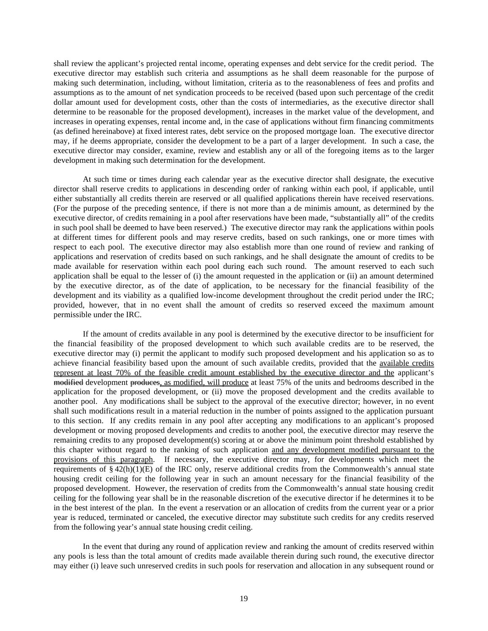shall review the applicant's projected rental income, operating expenses and debt service for the credit period. The executive director may establish such criteria and assumptions as he shall deem reasonable for the purpose of making such determination, including, without limitation, criteria as to the reasonableness of fees and profits and assumptions as to the amount of net syndication proceeds to be received (based upon such percentage of the credit dollar amount used for development costs, other than the costs of intermediaries, as the executive director shall determine to be reasonable for the proposed development), increases in the market value of the development, and increases in operating expenses, rental income and, in the case of applications without firm financing commitments (as defined hereinabove) at fixed interest rates, debt service on the proposed mortgage loan. The executive director may, if he deems appropriate, consider the development to be a part of a larger development. In such a case, the executive director may consider, examine, review and establish any or all of the foregoing items as to the larger development in making such determination for the development.

At such time or times during each calendar year as the executive director shall designate, the executive director shall reserve credits to applications in descending order of ranking within each pool, if applicable, until either substantially all credits therein are reserved or all qualified applications therein have received reservations. (For the purpose of the preceding sentence, if there is not more than a de minimis amount, as determined by the executive director, of credits remaining in a pool after reservations have been made, "substantially all" of the credits in such pool shall be deemed to have been reserved.) The executive director may rank the applications within pools at different times for different pools and may reserve credits, based on such rankings, one or more times with respect to each pool. The executive director may also establish more than one round of review and ranking of applications and reservation of credits based on such rankings, and he shall designate the amount of credits to be made available for reservation within each pool during each such round. The amount reserved to each such application shall be equal to the lesser of (i) the amount requested in the application or (ii) an amount determined by the executive director, as of the date of application, to be necessary for the financial feasibility of the development and its viability as a qualified low-income development throughout the credit period under the IRC; provided, however, that in no event shall the amount of credits so reserved exceed the maximum amount permissible under the IRC.

If the amount of credits available in any pool is determined by the executive director to be insufficient for the financial feasibility of the proposed development to which such available credits are to be reserved, the executive director may (i) permit the applicant to modify such proposed development and his application so as to achieve financial feasibility based upon the amount of such available credits, provided that the available credits represent at least 70% of the feasible credit amount established by the executive director and the applicant's modified development produces, as modified, will produce at least 75% of the units and bedrooms described in the application for the proposed development, or (ii) move the proposed development and the credits available to another pool. Any modifications shall be subject to the approval of the executive director; however, in no event shall such modifications result in a material reduction in the number of points assigned to the application pursuant to this section. If any credits remain in any pool after accepting any modifications to an applicant's proposed development or moving proposed developments and credits to another pool, the executive director may reserve the remaining credits to any proposed development(s) scoring at or above the minimum point threshold established by this chapter without regard to the ranking of such application and any development modified pursuant to the provisions of this paragraph. If necessary, the executive director may, for developments which meet the requirements of § 42(h)(1)(E) of the IRC only, reserve additional credits from the Commonwealth's annual state housing credit ceiling for the following year in such an amount necessary for the financial feasibility of the proposed development. However, the reservation of credits from the Commonwealth's annual state housing credit ceiling for the following year shall be in the reasonable discretion of the executive director if he determines it to be in the best interest of the plan. In the event a reservation or an allocation of credits from the current year or a prior year is reduced, terminated or canceled, the executive director may substitute such credits for any credits reserved from the following year's annual state housing credit ceiling.

In the event that during any round of application review and ranking the amount of credits reserved within any pools is less than the total amount of credits made available therein during such round, the executive director may either (i) leave such unreserved credits in such pools for reservation and allocation in any subsequent round or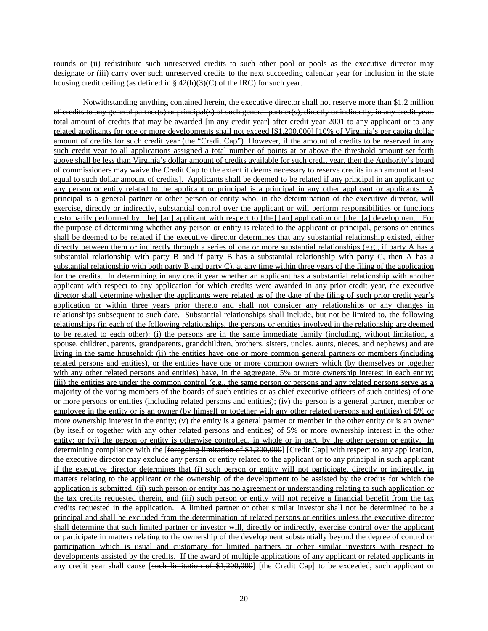rounds or (ii) redistribute such unreserved credits to such other pool or pools as the executive director may designate or (iii) carry over such unreserved credits to the next succeeding calendar year for inclusion in the state housing credit ceiling (as defined in  $\S 42(h)(3)(C)$  of the IRC) for such year.

Notwithstanding anything contained herein, the executive director shall not reserve more than \$1.2 million of credits to any general partner(s) or principal(s) of such general partner(s), directly or indirectly, in any credit year. total amount of credits that may be awarded [in any credit year] after credit year 2001 to any applicant or to any related applicants for one or more developments shall not exceed [\$1,200,000] [10% of Virginia's per capita dollar amount of credits for such credit year (the "Credit Cap") However, if the amount of credits to be reserved in any such credit year to all applications assigned a total number of points at or above the threshold amount set forth above shall be less than Virginia's dollar amount of credits available for such credit year, then the Authority's board of commissioners may waive the Credit Cap to the extent it deems necessary to reserve credits in an amount at least equal to such dollar amount of credits]. Applicants shall be deemed to be related if any principal in an applicant or any person or entity related to the applicant or principal is a principal in any other applicant or applicants. A principal is a general partner or other person or entity who, in the determination of the executive director, will exercise, directly or indirectly, substantial control over the applicant or will perform responsibilities or functions customarily performed by [the] [an] applicant with respect to [the] [an] application or [the] [a] development. For the purpose of determining whether any person or entity is related to the applicant or principal, persons or entities shall be deemed to be related if the executive director determines that any substantial relationship existed, either directly between them or indirectly through a series of one or more substantial relationships (e.g., if party A has a substantial relationship with party B and if party B has a substantial relationship with party C, then A has a substantial relationship with both party B and party C), at any time within three years of the filing of the application for the credits. In determining in any credit year whether an applicant has a substantial relationship with another applicant with respect to any application for which credits were awarded in any prior credit year, the executive director shall determine whether the applicants were related as of the date of the filing of such prior credit year's application or within three years prior thereto and shall not consider any relationships or any changes in relationships subsequent to such date. Substantial relationships shall include, but not be limited to, the following relationships (in each of the following relationships, the persons or entities involved in the relationship are deemed to be related to each other): (i) the persons are in the same immediate family (including, without limitation, a spouse, children, parents, grandparents, grandchildren, brothers, sisters, uncles, aunts, nieces, and nephews) and are living in the same household; (ii) the entities have one or more common general partners or members (including related persons and entities), or the entities have one or more common owners which (by themselves or together with any other related persons and entities) have, in the aggregate, 5% or more ownership interest in each entity; (iii) the entities are under the common control (e.g., the same person or persons and any related persons serve as a majority of the voting members of the boards of such entities or as chief executive officers of such entities) of one or more persons or entities (including related persons and entities); (iv) the person is a general partner, member or employee in the entity or is an owner (by himself or together with any other related persons and entities) of 5% or more ownership interest in the entity; (v) the entity is a general partner or member in the other entity or is an owner (by itself or together with any other related persons and entities) of 5% or more ownership interest in the other entity; or (vi) the person or entity is otherwise controlled, in whole or in part, by the other person or entity. In determining compliance with the [<del>foregoing limitation of \$1,200,000</del>] [Credit Cap] with respect to any application, the executive director may exclude any person or entity related to the applicant or to any principal in such applicant if the executive director determines that (i) such person or entity will not participate, directly or indirectly, in matters relating to the applicant or the ownership of the development to be assisted by the credits for which the application is submitted, (ii) such person or entity has no agreement or understanding relating to such application or the tax credits requested therein, and (iii) such person or entity will not receive a financial benefit from the tax credits requested in the application. A limited partner or other similar investor shall not be determined to be a principal and shall be excluded from the determination of related persons or entities unless the executive director shall determine that such limited partner or investor will, directly or indirectly, exercise control over the applicant or participate in matters relating to the ownership of the development substantially beyond the degree of control or participation which is usual and customary for limited partners or other similar investors with respect to developments assisted by the credits. If the award of multiple applications of any applicant or related applicants in any credit year shall cause [such limitation of \$1,200,000] [the Credit Cap] to be exceeded, such applicant or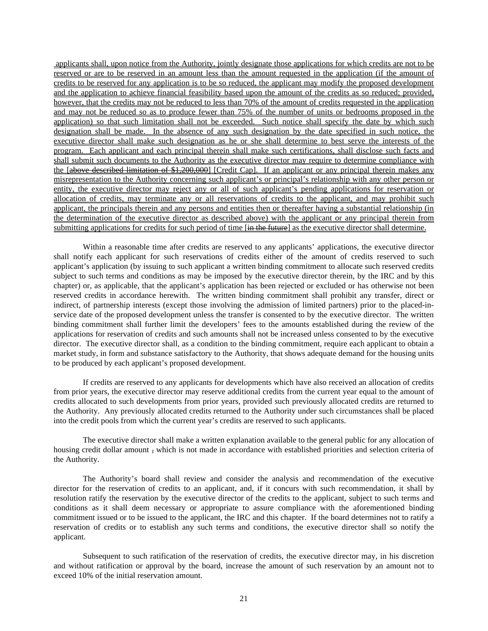applicants shall, upon notice from the Authority, jointly designate those applications for which credits are not to be reserved or are to be reserved in an amount less than the amount requested in the application (if the amount of credits to be reserved for any application is to be so reduced, the applicant may modify the proposed development and the application to achieve financial feasibility based upon the amount of the credits as so reduced; provided, however, that the credits may not be reduced to less than 70% of the amount of credits requested in the application and may not be reduced so as to produce fewer than 75% of the number of units or bedrooms proposed in the application) so that such limitation shall not be exceeded. Such notice shall specify the date by which such designation shall be made. In the absence of any such designation by the date specified in such notice, the executive director shall make such designation as he or she shall determine to best serve the interests of the program. Each applicant and each principal therein shall make such certifications, shall disclose such facts and shall submit such documents to the Authority as the executive director may require to determine compliance with the [above described limitation of \$1,200,000] [Credit Cap]. If an applicant or any principal therein makes any misrepresentation to the Authority concerning such applicant's or principal's relationship with any other person or entity, the executive director may reject any or all of such applicant's pending applications for reservation or allocation of credits, may terminate any or all reservations of credits to the applicant, and may prohibit such applicant, the principals therein and any persons and entities then or thereafter having a substantial relationship (in the determination of the executive director as described above) with the applicant or any principal therein from submitting applications for credits for such period of time [in the future] as the executive director shall determine.

Within a reasonable time after credits are reserved to any applicants' applications, the executive director shall notify each applicant for such reservations of credits either of the amount of credits reserved to such applicant's application (by issuing to such applicant a written binding commitment to allocate such reserved credits subject to such terms and conditions as may be imposed by the executive director therein, by the IRC and by this chapter) or, as applicable, that the applicant's application has been rejected or excluded or has otherwise not been reserved credits in accordance herewith. The written binding commitment shall prohibit any transfer, direct or indirect, of partnership interests (except those involving the admission of limited partners) prior to the placed-inservice date of the proposed development unless the transfer is consented to by the executive director. The written binding commitment shall further limit the developers' fees to the amounts established during the review of the applications for reservation of credits and such amounts shall not be increased unless consented to by the executive director. The executive director shall, as a condition to the binding commitment, require each applicant to obtain a market study, in form and substance satisfactory to the Authority, that shows adequate demand for the housing units to be produced by each applicant's proposed development.

If credits are reserved to any applicants for developments which have also received an allocation of credits from prior years, the executive director may reserve additional credits from the current year equal to the amount of credits allocated to such developments from prior years, provided such previously allocated credits are returned to the Authority. Any previously allocated credits returned to the Authority under such circumstances shall be placed into the credit pools from which the current year's credits are reserved to such applicants.

The executive director shall make a written explanation available to the general public for any allocation of housing credit dollar amount , which is not made in accordance with established priorities and selection criteria of the Authority.

The Authority's board shall review and consider the analysis and recommendation of the executive director for the reservation of credits to an applicant, and, if it concurs with such recommendation, it shall by resolution ratify the reservation by the executive director of the credits to the applicant, subject to such terms and conditions as it shall deem necessary or appropriate to assure compliance with the aforementioned binding commitment issued or to be issued to the applicant, the IRC and this chapter. If the board determines not to ratify a reservation of credits or to establish any such terms and conditions, the executive director shall so notify the applicant.

Subsequent to such ratification of the reservation of credits, the executive director may, in his discretion and without ratification or approval by the board, increase the amount of such reservation by an amount not to exceed 10% of the initial reservation amount.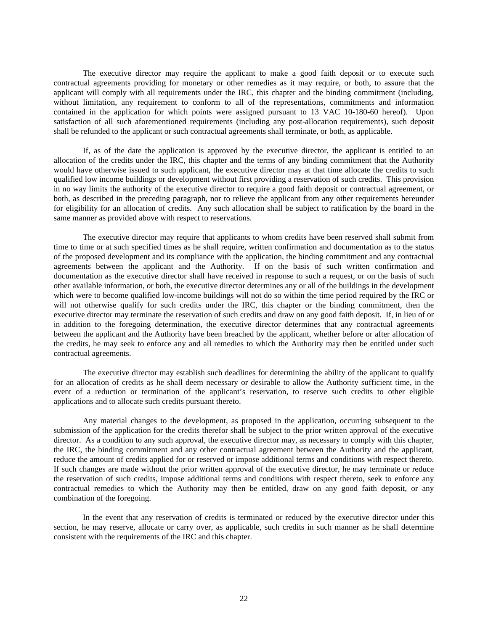The executive director may require the applicant to make a good faith deposit or to execute such contractual agreements providing for monetary or other remedies as it may require, or both, to assure that the applicant will comply with all requirements under the IRC, this chapter and the binding commitment (including, without limitation, any requirement to conform to all of the representations, commitments and information contained in the application for which points were assigned pursuant to 13 VAC 10-180-60 hereof). Upon satisfaction of all such aforementioned requirements (including any post-allocation requirements), such deposit shall be refunded to the applicant or such contractual agreements shall terminate, or both, as applicable.

If, as of the date the application is approved by the executive director, the applicant is entitled to an allocation of the credits under the IRC, this chapter and the terms of any binding commitment that the Authority would have otherwise issued to such applicant, the executive director may at that time allocate the credits to such qualified low income buildings or development without first providing a reservation of such credits. This provision in no way limits the authority of the executive director to require a good faith deposit or contractual agreement, or both, as described in the preceding paragraph, nor to relieve the applicant from any other requirements hereunder for eligibility for an allocation of credits. Any such allocation shall be subject to ratification by the board in the same manner as provided above with respect to reservations.

The executive director may require that applicants to whom credits have been reserved shall submit from time to time or at such specified times as he shall require, written confirmation and documentation as to the status of the proposed development and its compliance with the application, the binding commitment and any contractual agreements between the applicant and the Authority. If on the basis of such written confirmation and documentation as the executive director shall have received in response to such a request, or on the basis of such other available information, or both, the executive director determines any or all of the buildings in the development which were to become qualified low-income buildings will not do so within the time period required by the IRC or will not otherwise qualify for such credits under the IRC, this chapter or the binding commitment, then the executive director may terminate the reservation of such credits and draw on any good faith deposit. If, in lieu of or in addition to the foregoing determination, the executive director determines that any contractual agreements between the applicant and the Authority have been breached by the applicant, whether before or after allocation of the credits, he may seek to enforce any and all remedies to which the Authority may then be entitled under such contractual agreements.

The executive director may establish such deadlines for determining the ability of the applicant to qualify for an allocation of credits as he shall deem necessary or desirable to allow the Authority sufficient time, in the event of a reduction or termination of the applicant's reservation, to reserve such credits to other eligible applications and to allocate such credits pursuant thereto.

Any material changes to the development, as proposed in the application, occurring subsequent to the submission of the application for the credits therefor shall be subject to the prior written approval of the executive director. As a condition to any such approval, the executive director may, as necessary to comply with this chapter, the IRC, the binding commitment and any other contractual agreement between the Authority and the applicant, reduce the amount of credits applied for or reserved or impose additional terms and conditions with respect thereto. If such changes are made without the prior written approval of the executive director, he may terminate or reduce the reservation of such credits, impose additional terms and conditions with respect thereto, seek to enforce any contractual remedies to which the Authority may then be entitled, draw on any good faith deposit, or any combination of the foregoing.

In the event that any reservation of credits is terminated or reduced by the executive director under this section, he may reserve, allocate or carry over, as applicable, such credits in such manner as he shall determine consistent with the requirements of the IRC and this chapter.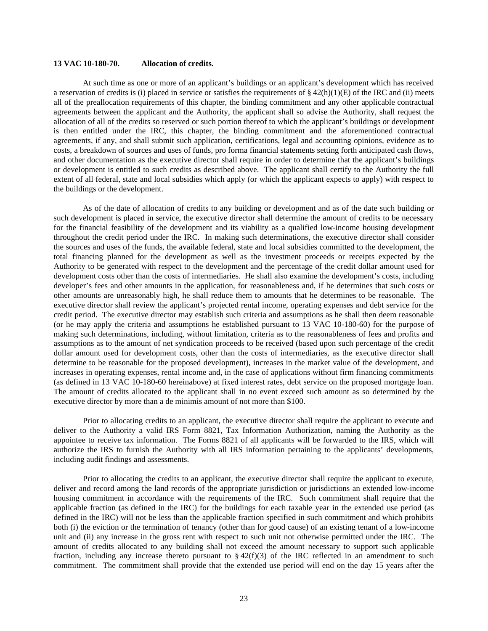### **13 VAC 10-180-70. Allocation of credits.**

At such time as one or more of an applicant's buildings or an applicant's development which has received a reservation of credits is (i) placed in service or satisfies the requirements of  $\S 42(h)(1)(E)$  of the IRC and (ii) meets all of the preallocation requirements of this chapter, the binding commitment and any other applicable contractual agreements between the applicant and the Authority, the applicant shall so advise the Authority, shall request the allocation of all of the credits so reserved or such portion thereof to which the applicant's buildings or development is then entitled under the IRC, this chapter, the binding commitment and the aforementioned contractual agreements, if any, and shall submit such application, certifications, legal and accounting opinions, evidence as to costs, a breakdown of sources and uses of funds, pro forma financial statements setting forth anticipated cash flows, and other documentation as the executive director shall require in order to determine that the applicant's buildings or development is entitled to such credits as described above. The applicant shall certify to the Authority the full extent of all federal, state and local subsidies which apply (or which the applicant expects to apply) with respect to the buildings or the development.

As of the date of allocation of credits to any building or development and as of the date such building or such development is placed in service, the executive director shall determine the amount of credits to be necessary for the financial feasibility of the development and its viability as a qualified low-income housing development throughout the credit period under the IRC. In making such determinations, the executive director shall consider the sources and uses of the funds, the available federal, state and local subsidies committed to the development, the total financing planned for the development as well as the investment proceeds or receipts expected by the Authority to be generated with respect to the development and the percentage of the credit dollar amount used for development costs other than the costs of intermediaries. He shall also examine the development's costs, including developer's fees and other amounts in the application, for reasonableness and, if he determines that such costs or other amounts are unreasonably high, he shall reduce them to amounts that he determines to be reasonable. The executive director shall review the applicant's projected rental income, operating expenses and debt service for the credit period. The executive director may establish such criteria and assumptions as he shall then deem reasonable (or he may apply the criteria and assumptions he established pursuant to 13 VAC 10-180-60) for the purpose of making such determinations, including, without limitation, criteria as to the reasonableness of fees and profits and assumptions as to the amount of net syndication proceeds to be received (based upon such percentage of the credit dollar amount used for development costs, other than the costs of intermediaries, as the executive director shall determine to be reasonable for the proposed development), increases in the market value of the development, and increases in operating expenses, rental income and, in the case of applications without firm financing commitments (as defined in 13 VAC 10-180-60 hereinabove) at fixed interest rates, debt service on the proposed mortgage loan. The amount of credits allocated to the applicant shall in no event exceed such amount as so determined by the executive director by more than a de minimis amount of not more than \$100.

Prior to allocating credits to an applicant, the executive director shall require the applicant to execute and deliver to the Authority a valid IRS Form 8821, Tax Information Authorization, naming the Authority as the appointee to receive tax information. The Forms 8821 of all applicants will be forwarded to the IRS, which will authorize the IRS to furnish the Authority with all IRS information pertaining to the applicants' developments, including audit findings and assessments.

Prior to allocating the credits to an applicant, the executive director shall require the applicant to execute, deliver and record among the land records of the appropriate jurisdiction or jurisdictions an extended low-income housing commitment in accordance with the requirements of the IRC. Such commitment shall require that the applicable fraction (as defined in the IRC) for the buildings for each taxable year in the extended use period (as defined in the IRC) will not be less than the applicable fraction specified in such commitment and which prohibits both (i) the eviction or the termination of tenancy (other than for good cause) of an existing tenant of a low-income unit and (ii) any increase in the gross rent with respect to such unit not otherwise permitted under the IRC. The amount of credits allocated to any building shall not exceed the amount necessary to support such applicable fraction, including any increase thereto pursuant to  $\S 42(f)(3)$  of the IRC reflected in an amendment to such commitment. The commitment shall provide that the extended use period will end on the day 15 years after the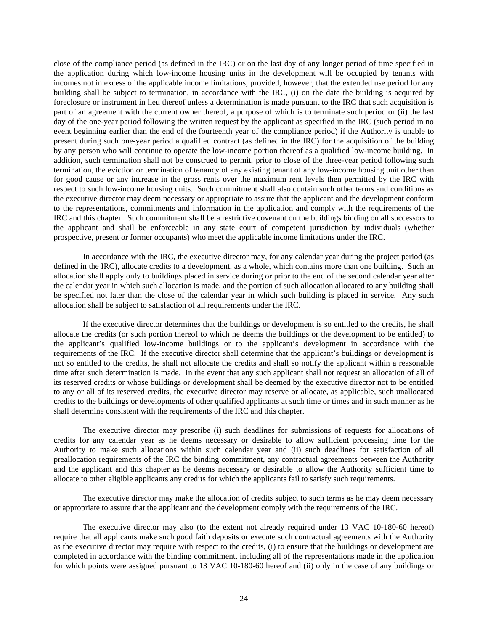close of the compliance period (as defined in the IRC) or on the last day of any longer period of time specified in the application during which low-income housing units in the development will be occupied by tenants with incomes not in excess of the applicable income limitations; provided, however, that the extended use period for any building shall be subject to termination, in accordance with the IRC, (i) on the date the building is acquired by foreclosure or instrument in lieu thereof unless a determination is made pursuant to the IRC that such acquisition is part of an agreement with the current owner thereof, a purpose of which is to terminate such period or (ii) the last day of the one-year period following the written request by the applicant as specified in the IRC (such period in no event beginning earlier than the end of the fourteenth year of the compliance period) if the Authority is unable to present during such one-year period a qualified contract (as defined in the IRC) for the acquisition of the building by any person who will continue to operate the low-income portion thereof as a qualified low-income building. In addition, such termination shall not be construed to permit, prior to close of the three-year period following such termination, the eviction or termination of tenancy of any existing tenant of any low-income housing unit other than for good cause or any increase in the gross rents over the maximum rent levels then permitted by the IRC with respect to such low-income housing units. Such commitment shall also contain such other terms and conditions as the executive director may deem necessary or appropriate to assure that the applicant and the development conform to the representations, commitments and information in the application and comply with the requirements of the IRC and this chapter. Such commitment shall be a restrictive covenant on the buildings binding on all successors to the applicant and shall be enforceable in any state court of competent jurisdiction by individuals (whether prospective, present or former occupants) who meet the applicable income limitations under the IRC.

In accordance with the IRC, the executive director may, for any calendar year during the project period (as defined in the IRC), allocate credits to a development, as a whole, which contains more than one building. Such an allocation shall apply only to buildings placed in service during or prior to the end of the second calendar year after the calendar year in which such allocation is made, and the portion of such allocation allocated to any building shall be specified not later than the close of the calendar year in which such building is placed in service. Any such allocation shall be subject to satisfaction of all requirements under the IRC.

If the executive director determines that the buildings or development is so entitled to the credits, he shall allocate the credits (or such portion thereof to which he deems the buildings or the development to be entitled) to the applicant's qualified low-income buildings or to the applicant's development in accordance with the requirements of the IRC. If the executive director shall determine that the applicant's buildings or development is not so entitled to the credits, he shall not allocate the credits and shall so notify the applicant within a reasonable time after such determination is made. In the event that any such applicant shall not request an allocation of all of its reserved credits or whose buildings or development shall be deemed by the executive director not to be entitled to any or all of its reserved credits, the executive director may reserve or allocate, as applicable, such unallocated credits to the buildings or developments of other qualified applicants at such time or times and in such manner as he shall determine consistent with the requirements of the IRC and this chapter.

The executive director may prescribe (i) such deadlines for submissions of requests for allocations of credits for any calendar year as he deems necessary or desirable to allow sufficient processing time for the Authority to make such allocations within such calendar year and (ii) such deadlines for satisfaction of all preallocation requirements of the IRC the binding commitment, any contractual agreements between the Authority and the applicant and this chapter as he deems necessary or desirable to allow the Authority sufficient time to allocate to other eligible applicants any credits for which the applicants fail to satisfy such requirements.

The executive director may make the allocation of credits subject to such terms as he may deem necessary or appropriate to assure that the applicant and the development comply with the requirements of the IRC.

The executive director may also (to the extent not already required under 13 VAC 10-180-60 hereof) require that all applicants make such good faith deposits or execute such contractual agreements with the Authority as the executive director may require with respect to the credits, (i) to ensure that the buildings or development are completed in accordance with the binding commitment, including all of the representations made in the application for which points were assigned pursuant to 13 VAC 10-180-60 hereof and (ii) only in the case of any buildings or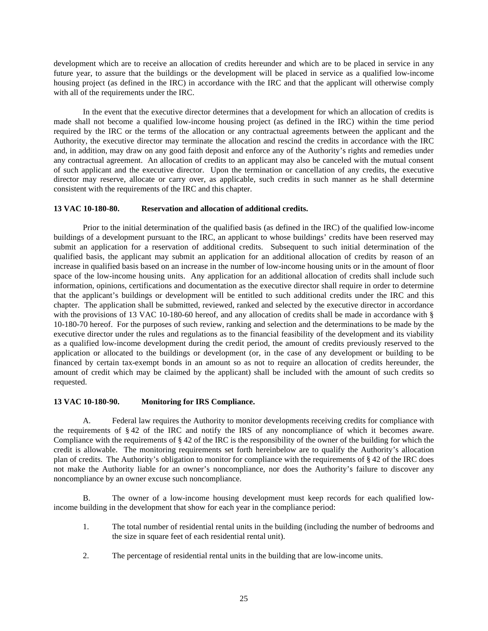development which are to receive an allocation of credits hereunder and which are to be placed in service in any future year, to assure that the buildings or the development will be placed in service as a qualified low-income housing project (as defined in the IRC) in accordance with the IRC and that the applicant will otherwise comply with all of the requirements under the IRC.

In the event that the executive director determines that a development for which an allocation of credits is made shall not become a qualified low-income housing project (as defined in the IRC) within the time period required by the IRC or the terms of the allocation or any contractual agreements between the applicant and the Authority, the executive director may terminate the allocation and rescind the credits in accordance with the IRC and, in addition, may draw on any good faith deposit and enforce any of the Authority's rights and remedies under any contractual agreement. An allocation of credits to an applicant may also be canceled with the mutual consent of such applicant and the executive director. Upon the termination or cancellation of any credits, the executive director may reserve, allocate or carry over, as applicable, such credits in such manner as he shall determine consistent with the requirements of the IRC and this chapter.

### **13 VAC 10-180-80. Reservation and allocation of additional credits.**

Prior to the initial determination of the qualified basis (as defined in the IRC) of the qualified low-income buildings of a development pursuant to the IRC, an applicant to whose buildings' credits have been reserved may submit an application for a reservation of additional credits. Subsequent to such initial determination of the qualified basis, the applicant may submit an application for an additional allocation of credits by reason of an increase in qualified basis based on an increase in the number of low-income housing units or in the amount of floor space of the low-income housing units. Any application for an additional allocation of credits shall include such information, opinions, certifications and documentation as the executive director shall require in order to determine that the applicant's buildings or development will be entitled to such additional credits under the IRC and this chapter. The application shall be submitted, reviewed, ranked and selected by the executive director in accordance with the provisions of 13 VAC 10-180-60 hereof, and any allocation of credits shall be made in accordance with § 10-180-70 hereof. For the purposes of such review, ranking and selection and the determinations to be made by the executive director under the rules and regulations as to the financial feasibility of the development and its viability as a qualified low-income development during the credit period, the amount of credits previously reserved to the application or allocated to the buildings or development (or, in the case of any development or building to be financed by certain tax-exempt bonds in an amount so as not to require an allocation of credits hereunder, the amount of credit which may be claimed by the applicant) shall be included with the amount of such credits so requested.

#### **13 VAC 10-180-90. Monitoring for IRS Compliance.**

A. Federal law requires the Authority to monitor developments receiving credits for compliance with the requirements of § 42 of the IRC and notify the IRS of any noncompliance of which it becomes aware. Compliance with the requirements of  $\S 42$  of the IRC is the responsibility of the owner of the building for which the credit is allowable. The monitoring requirements set forth hereinbelow are to qualify the Authority's allocation plan of credits. The Authority's obligation to monitor for compliance with the requirements of § 42 of the IRC does not make the Authority liable for an owner's noncompliance, nor does the Authority's failure to discover any noncompliance by an owner excuse such noncompliance.

B. The owner of a low-income housing development must keep records for each qualified lowincome building in the development that show for each year in the compliance period:

- 1. The total number of residential rental units in the building (including the number of bedrooms and the size in square feet of each residential rental unit).
- 2. The percentage of residential rental units in the building that are low-income units.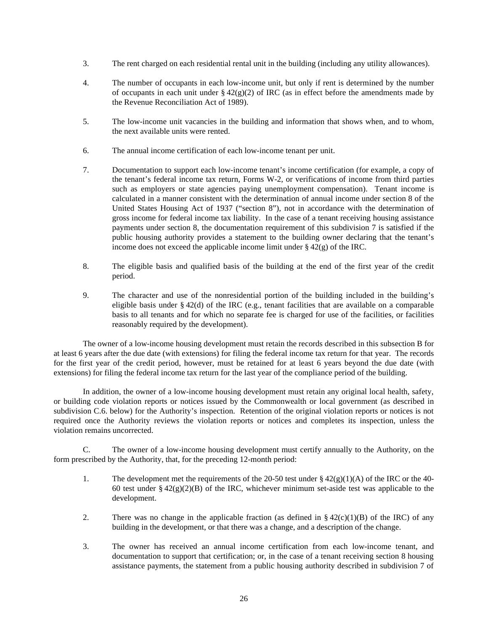- 3. The rent charged on each residential rental unit in the building (including any utility allowances).
- 4. The number of occupants in each low-income unit, but only if rent is determined by the number of occupants in each unit under  $\S 42(g)(2)$  of IRC (as in effect before the amendments made by the Revenue Reconciliation Act of 1989).
- 5. The low-income unit vacancies in the building and information that shows when, and to whom, the next available units were rented.
- 6. The annual income certification of each low-income tenant per unit.
- 7. Documentation to support each low-income tenant's income certification (for example, a copy of the tenant's federal income tax return, Forms W-2, or verifications of income from third parties such as employers or state agencies paying unemployment compensation). Tenant income is calculated in a manner consistent with the determination of annual income under section 8 of the United States Housing Act of 1937 ("section 8"), not in accordance with the determination of gross income for federal income tax liability. In the case of a tenant receiving housing assistance payments under section 8, the documentation requirement of this subdivision 7 is satisfied if the public housing authority provides a statement to the building owner declaring that the tenant's income does not exceed the applicable income limit under  $\S 42(g)$  of the IRC.
- 8. The eligible basis and qualified basis of the building at the end of the first year of the credit period.
- 9. The character and use of the nonresidential portion of the building included in the building's eligible basis under § 42(d) of the IRC (e.g., tenant facilities that are available on a comparable basis to all tenants and for which no separate fee is charged for use of the facilities, or facilities reasonably required by the development).

The owner of a low-income housing development must retain the records described in this subsection B for at least 6 years after the due date (with extensions) for filing the federal income tax return for that year. The records for the first year of the credit period, however, must be retained for at least 6 years beyond the due date (with extensions) for filing the federal income tax return for the last year of the compliance period of the building.

In addition, the owner of a low-income housing development must retain any original local health, safety, or building code violation reports or notices issued by the Commonwealth or local government (as described in subdivision C.6. below) for the Authority's inspection. Retention of the original violation reports or notices is not required once the Authority reviews the violation reports or notices and completes its inspection, unless the violation remains uncorrected.

C. The owner of a low-income housing development must certify annually to the Authority, on the form prescribed by the Authority, that, for the preceding 12-month period:

- 1. The development met the requirements of the 20-50 test under  $\S 42(g)(1)(A)$  of the IRC or the 40-60 test under §  $42(g)(2)(B)$  of the IRC, whichever minimum set-aside test was applicable to the development.
- 2. There was no change in the applicable fraction (as defined in  $\S 42(c)(1)(B)$  of the IRC) of any building in the development, or that there was a change, and a description of the change.
- 3. The owner has received an annual income certification from each low-income tenant, and documentation to support that certification; or, in the case of a tenant receiving section 8 housing assistance payments, the statement from a public housing authority described in subdivision 7 of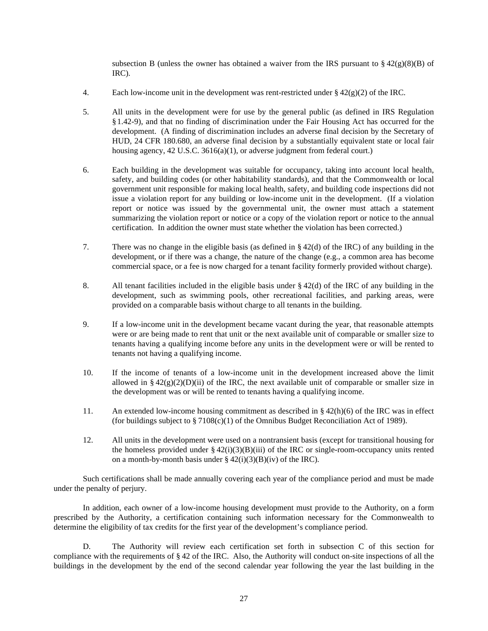subsection B (unless the owner has obtained a waiver from the IRS pursuant to  $\S 42(g)(8)(B)$  of IRC).

- 4. Each low-income unit in the development was rent-restricted under  $\S 42(g)(2)$  of the IRC.
- 5. All units in the development were for use by the general public (as defined in IRS Regulation §1.42-9), and that no finding of discrimination under the Fair Housing Act has occurred for the development. (A finding of discrimination includes an adverse final decision by the Secretary of HUD, 24 CFR 180.680, an adverse final decision by a substantially equivalent state or local fair housing agency, 42 U.S.C. 3616(a)(1), or adverse judgment from federal court.)
- 6. Each building in the development was suitable for occupancy, taking into account local health, safety, and building codes (or other habitability standards), and that the Commonwealth or local government unit responsible for making local health, safety, and building code inspections did not issue a violation report for any building or low-income unit in the development. (If a violation report or notice was issued by the governmental unit, the owner must attach a statement summarizing the violation report or notice or a copy of the violation report or notice to the annual certification. In addition the owner must state whether the violation has been corrected.)
- 7. There was no change in the eligible basis (as defined in § 42(d) of the IRC) of any building in the development, or if there was a change, the nature of the change (e.g., a common area has become commercial space, or a fee is now charged for a tenant facility formerly provided without charge).
- 8. All tenant facilities included in the eligible basis under  $\S 42(d)$  of the IRC of any building in the development, such as swimming pools, other recreational facilities, and parking areas, were provided on a comparable basis without charge to all tenants in the building.
- 9. If a low-income unit in the development became vacant during the year, that reasonable attempts were or are being made to rent that unit or the next available unit of comparable or smaller size to tenants having a qualifying income before any units in the development were or will be rented to tenants not having a qualifying income.
- 10. If the income of tenants of a low-income unit in the development increased above the limit allowed in §  $42(g)(2)(D)(ii)$  of the IRC, the next available unit of comparable or smaller size in the development was or will be rented to tenants having a qualifying income.
- 11. An extended low-income housing commitment as described in § 42(h)(6) of the IRC was in effect (for buildings subject to  $\S 7108(c)(1)$  of the Omnibus Budget Reconciliation Act of 1989).
- 12. All units in the development were used on a nontransient basis (except for transitional housing for the homeless provided under  $\S 42(i)(3)(B)(iii)$  of the IRC or single-room-occupancy units rented on a month-by-month basis under  $\S 42(i)(3)(B)(iv)$  of the IRC).

Such certifications shall be made annually covering each year of the compliance period and must be made under the penalty of perjury.

In addition, each owner of a low-income housing development must provide to the Authority, on a form prescribed by the Authority, a certification containing such information necessary for the Commonwealth to determine the eligibility of tax credits for the first year of the development's compliance period.

D. The Authority will review each certification set forth in subsection C of this section for compliance with the requirements of  $\S 42$  of the IRC. Also, the Authority will conduct on-site inspections of all the buildings in the development by the end of the second calendar year following the year the last building in the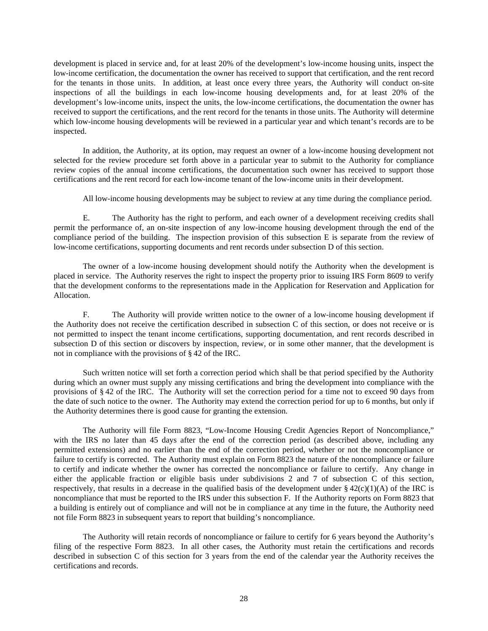development is placed in service and, for at least 20% of the development's low-income housing units, inspect the low-income certification, the documentation the owner has received to support that certification, and the rent record for the tenants in those units. In addition, at least once every three years, the Authority will conduct on-site inspections of all the buildings in each low-income housing developments and, for at least 20% of the development's low-income units, inspect the units, the low-income certifications, the documentation the owner has received to support the certifications, and the rent record for the tenants in those units. The Authority will determine which low-income housing developments will be reviewed in a particular year and which tenant's records are to be inspected.

In addition, the Authority, at its option, may request an owner of a low-income housing development not selected for the review procedure set forth above in a particular year to submit to the Authority for compliance review copies of the annual income certifications, the documentation such owner has received to support those certifications and the rent record for each low-income tenant of the low-income units in their development.

All low-income housing developments may be subject to review at any time during the compliance period.

E. The Authority has the right to perform, and each owner of a development receiving credits shall permit the performance of, an on-site inspection of any low-income housing development through the end of the compliance period of the building. The inspection provision of this subsection E is separate from the review of low-income certifications, supporting documents and rent records under subsection D of this section.

The owner of a low-income housing development should notify the Authority when the development is placed in service. The Authority reserves the right to inspect the property prior to issuing IRS Form 8609 to verify that the development conforms to the representations made in the Application for Reservation and Application for Allocation.

F. The Authority will provide written notice to the owner of a low-income housing development if the Authority does not receive the certification described in subsection C of this section, or does not receive or is not permitted to inspect the tenant income certifications, supporting documentation, and rent records described in subsection D of this section or discovers by inspection, review, or in some other manner, that the development is not in compliance with the provisions of § 42 of the IRC.

Such written notice will set forth a correction period which shall be that period specified by the Authority during which an owner must supply any missing certifications and bring the development into compliance with the provisions of § 42 of the IRC. The Authority will set the correction period for a time not to exceed 90 days from the date of such notice to the owner. The Authority may extend the correction period for up to 6 months, but only if the Authority determines there is good cause for granting the extension.

The Authority will file Form 8823, "Low-Income Housing Credit Agencies Report of Noncompliance," with the IRS no later than 45 days after the end of the correction period (as described above, including any permitted extensions) and no earlier than the end of the correction period, whether or not the noncompliance or failure to certify is corrected. The Authority must explain on Form 8823 the nature of the noncompliance or failure to certify and indicate whether the owner has corrected the noncompliance or failure to certify. Any change in either the applicable fraction or eligible basis under subdivisions 2 and 7 of subsection C of this section, respectively, that results in a decrease in the qualified basis of the development under  $\S 42(c)(1)(A)$  of the IRC is noncompliance that must be reported to the IRS under this subsection F. If the Authority reports on Form 8823 that a building is entirely out of compliance and will not be in compliance at any time in the future, the Authority need not file Form 8823 in subsequent years to report that building's noncompliance.

The Authority will retain records of noncompliance or failure to certify for 6 years beyond the Authority's filing of the respective Form 8823. In all other cases, the Authority must retain the certifications and records described in subsection C of this section for 3 years from the end of the calendar year the Authority receives the certifications and records.